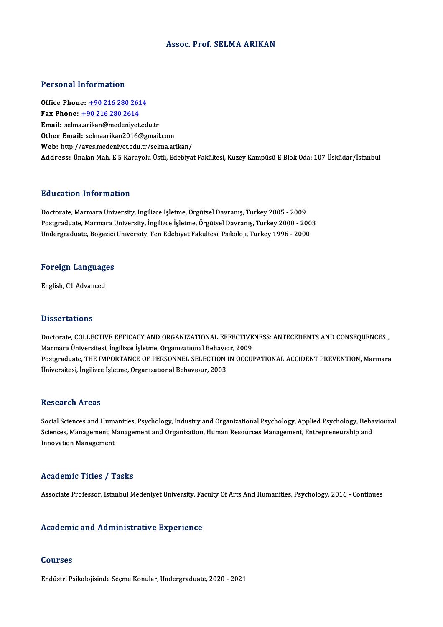#### Assoc. Prof. SELMA ARIKAN

#### Personal Information

**Personal Information<br>Office Phone: +90 216 280 2614**<br>Fax Phone: +90 216 280 2614 Fax Phone: <u>+90 216 280 261</u><br>Fax Phone: <u>+90 216 280 2614</u><br>Fmail: selme exikan@medeniyet Fax Phone:  $\pm 902162802614$ <br>Email: selm[a.arikan@medeniyet.ed](tel:+90 216 280 2614)u.tr Other Email: selmaarikan2016@gmail.com Web: http://aves.medeniyet.edu.tr/selma.arikan/ Address: Ünalan Mah. E 5 Karayolu Üstü, Edebiyat Fakültesi, Kuzey Kampüsü E Blok Oda: 107 Üsküdar/İstanbul

#### Education Information

Doctorate, Marmara University, İngilizce İşletme, Örgütsel Davranış, Turkey 2005 - 2009 Pu u sutrom minor inutrom<br>Doctorate, Marmara University, İngilizce İşletme, Örgütsel Davranış, Turkey 2005 - 2009<br>Postgraduate, Marmara University, İngilizce İşletme, Örgütsel Davranış, Turkey 2000 - 2003<br>Undergraduate, Po Doctorate, Marmara University, İngilizce İşletme, Örgütsel Davranış, Turkey 2005 - 2009<br>Postgraduate, Marmara University, İngilizce İşletme, Örgütsel Davranış, Turkey 2000 - 200<br>Undergraduate, Bogazici University, Fen Edeb

# <sub>ondergraduate, bogazici<br>Foreign Languages</sub> <mark>Foreign Languag</mark><br>English, C1 Advanced

English, C1 Advanced<br>Dissertations

Dissertations<br>Doctorate, COLLECTIVE EFFICACY AND ORGANIZATIONAL EFFECTIVENESS: ANTECEDENTS AND CONSEQUENCES ,<br>Marmara Universitesi Insilisce Islatme, Organizational Pebeuger, 2009 Marmara<br>Doctorate, COLLECTIVE EFFICACY AND ORGANIZATIONAL EFFECTIVE<br>Marmara Üniversitesi, İngilizce İşletme, Organızatıonal Behavıor, 2009<br>Bostanaduata THE IMPOPTANCE OF PERSONNEL SELECTION IN OCCUI Doctorate, COLLECTIVE EFFICACY AND ORGANIZATIONAL EFFECTIVENESS: ANTECEDENTS AND CONSEQUENCES ,<br>Marmara Üniversitesi, İngilizce İşletme, Organizational Behavior, 2009<br>Postgraduate, THE IMPORTANCE OF PERSONNEL SELECTION IN Marmara Üniversitesi, İngilizce İşletme, Organızatıonal Behavıor, 2009<br>Postgraduate, THE IMPORTANCE OF PERSONNEL SELECTION IN OCCUPATIONAL ACCIDENT PREVENTION, Marmara<br>Üniversitesi, İngilizce İşletme, Organızatıonal Behavı

#### **Research Areas**

Research Areas<br>Social Sciences and Humanities, Psychology, Industry and Organizational Psychology, Applied Psychology, Behavioural<br>Sciences Management Management and Organization Human Beseurses Management, Entrenneneurabi Resear en III cas<br>Social Sciences and Humanities, Psychology, Industry and Organizational Psychology, Applied Psychology, Beha<br>Sciences, Management, Management and Organization, Human Resources Management, Entrepreneurship Sciences, Management, Management and Organization, Human Resources Management, Entrepreneurship and<br>Innovation Management

#### Academic Titles / Tasks

Associate Professor, Istanbul Medeniyet University, Faculty Of Arts And Humanities, Psychology, 2016 - Continues

#### Academic and Administrative Experience

#### Courses

EndüstriPsikolojisinde SeçmeKonular,Undergraduate,2020 -2021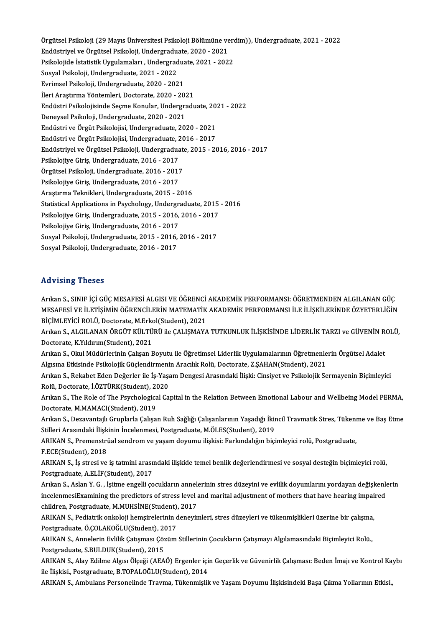Örgütsel Psikoloji (29 Mayıs Üniversitesi Psikoloji Bölümüne verdim)), Undergraduate, 2021 - 2022<br>Endüstrivel ve Örgütsel Beikoleji, Undergraduate, 2020, 2021 Örgütsel Psikoloji (29 Mayıs Üniversitesi Psikoloji Bölümüne ve<br>Endüstriyel ve Örgütsel Psikoloji, Undergraduate, 2020 - 2021<br>Psikolojide İstatistik Uygulamaları, Undergraduate, 2021, 2021 Örgütsel Psikoloji (29 Mayıs Üniversitesi Psikoloji Bölümüne verd<br>Endüstriyel ve Örgütsel Psikoloji, Undergraduate, 2020 - 2021<br>Psikolojide İstatistik Uygulamaları , Undergraduate, 2021 - 2022<br>Sesvel Psikoloji, Undergradua Endüstriyel ve Örgütsel Psikoloji, Undergradu<br>Psikolojide İstatistik Uygulamaları , Undergrad<br>Sosyal Psikoloji, Undergraduate, 2021 - 2022<br>Eynimeel Psikoloji, Undergraduate, 2020 - 202 Psikolojide İstatistik Uygulamaları , Undergradua<br>Sosyal Psikoloji, Undergraduate, 2021 - 2022<br>Evrimsel Psikoloji, Undergraduate, 2020 - 2021<br><sup>İlori</sup> Arastırma Yöntemleri, Desterate, 2020 - 20 Sosyal Psikoloji, Undergraduate, 2021 - 2022<br>Evrimsel Psikoloji, Undergraduate, 2020 - 2021<br>İleri Araştırma Yöntemleri, Doctorate, 2020 - 2021 Evrimsel Psikoloji, Undergraduate, 2020 - 2021<br>İleri Araştırma Yöntemleri, Doctorate, 2020 - 2021<br>Endüstri Psikolojisinde Seçme Konular, Undergraduate, 2021 - 2022<br>Denavsel Psikoloji, Undergraduate, 2020 - 2021 İleri Araştırma Yöntemleri, Doctorate, 2020 - 2021<br>Endüstri Psikolojisinde Seçme Konular, Undergra<br>Deneysel Psikoloji, Undergraduate, 2020 - 2021<br>Endüstri ve Örgüt Psikolojisi, Undergraduate, 20 Endüstri Psikolojisinde Seçme Konular, Undergraduate, 20<br>Deneysel Psikoloji, Undergraduate, 2020 - 2021<br>Endüstri ve Örgüt Psikolojisi, Undergraduate, 2020 - 2021<br>Endüstri ve Örgüt Psikolojisi, Undergraduate, 2016 - 2017 Deneysel Psikoloji, Undergraduate, 2020 - 2021<br>Endüstri ve Örgüt Psikolojisi, Undergraduate, 2020 - 2021<br>Endüstrivel ve Örgüt Psikolojisi, Undergraduate, 2016 - 2017<br>Endüstrivel ve Örgütgel Bsikoloji, Undergraduate, 2015 -Endüstri ve Örgüt Psikolojisi, Undergraduate, 2020 - 2021<br>Endüstri ve Örgüt Psikolojisi, Undergraduate, 2016 - 2017<br>Endüstriyel ve Örgütsel Psikoloji, Undergraduate, 2015 - 2016, 2016 - 2017<br>Psikolojive Ciris, Undergraduat Endüstri ve Örgüt Psikolojisi, Undergraduate, 2<br>Endüstriyel ve Örgütsel Psikoloji, Undergradua<br>Psikolojiye Giriş, Undergraduate, 2016 - 2017<br>Örgütsel Psikoloji, Undergraduate, 2016 - 2017 Endüstriyel ve Örgütsel Psikoloji, Undergraduat<br>Psikolojiye Giriş, Undergraduate, 2016 - 2017<br>Örgütsel Psikoloji, Undergraduate, 2016 - 2017<br>Psikolojiye Ciris, Undergraduate, 2016 - 2017 Psikolojiye Giriş, Undergraduate, 2016 - 2017<br>Örgütsel Psikoloji, Undergraduate, 2016 - 2017<br>Psikolojiye Giriş, Undergraduate, 2016 - 2017 AraştırmaTeknikleri,Undergraduate,2015 -2016 Psikolojiye Giriş, Undergraduate, 2016 - 2017<br>Araştırma Teknikleri, Undergraduate, 2015 - 2016<br>Statistical Applications in Psychology, Undergraduate, 2015 - 2016<br>Psikolojiye Ciris, Undergraduate, 2015 - 2016 - 2016 - 2017 Araştırma Teknikleri, Undergraduate, 2015 - 2016<br>Statistical Applications in Psychology, Undergraduate, 2015<br>Psikolojiye Giriş, Undergraduate, 2015 - 2016, 2016 - 2017<br>Psikolojiye Giriş, Undergraduate, 2016 - 2017 Statistical Applications in Psychology, Undergr<br>Psikolojiye Giriş, Undergraduate, 2015 - 2016,<br>Psikolojiye Giriş, Undergraduate, 2016 - 2017<br>Seavel Beikoloji, Undergraduate, 2015 - 2016 Psikolojiye Giriş, Undergraduate, 2015 - 2016, 2016 - 2017<br>Psikolojiye Giriş, Undergraduate, 2016 - 2017<br>Sosyal Psikoloji, Undergraduate, 2015 - 2016, 2016 - 2017 Sosyal Psikoloji, Undergraduate, 2016 - 2017

#### Advising Theses

Arıkan S., SINIF İÇİ GÜÇ MESAFESİ ALGISI VE ÖĞRENCİ AKADEMİK PERFORMANSI: ÖĞRETMENDEN ALGILANAN GÜÇ MESAFESİVEİLETİŞİMİNÖĞRENCİLERİNMATEMATİKAKADEMİKPERFORMANSI İLEİLİŞKİLERİNDEÖZYETERLİĞİN Arıkan S., SINIF İÇİ GÜÇ MESAFESİ ALGISI VE ÖĞRENCİ<br>MESAFESİ VE İLETİŞİMİN ÖĞRENCİLERİN MATEMATİK<br>BİÇİMLEYİCİ ROLÜ, Doctorate, M.Erkol(Student), 2021<br>Arıkan S. ALGU ANAN ÖRCÜT KÜLTÜRÜ ile GALISMAYA

Arıkan S., ALGILANAN ÖRGÜT KÜLTÜRÜ ile ÇALIŞMAYA TUTKUNLUK İLİŞKİSİNDE LİDERLİK TARZI ve GÜVENİN ROLÜ,<br>Doctorate, K.Yıldırım(Student), 2021 BİÇİMLEYİCİ ROLÜ, Doctorate, M.Erko<br>Arıkan S., ALGILANAN ÖRGÜT KÜLTÜ<br>Doctorate, K.Yıldırım(Student), 2021<br>Arıkan S. Okul Müdürlerinin Calvan E Arıkan S., ALGILANAN ÖRGÜT KÜLTÜRÜ ile ÇALIŞMAYA TUTKUNLUK İLİŞKİSİNDE LİDERLİK TARZI ve GÜVENİN R(<br>Doctorate, K.Yıldırım(Student), 2021<br>Arıkan S., Okul Müdürlerinin Çalışan Boyutu ile Öğretimsel Liderlik Uygulamalarının Ö

Doctorate, K.Yıldırım(Student), 2021<br>Arıkan S., Okul Müdürlerinin Çalışan Boyutu ile Öğretimsel Liderlik Uygulamalarının Öğretmenle<br>Algısına Etkisinde Psikolojik Güçlendirmenin Aracılık Rolü, Doctorate, Z.ŞAHAN(Student), 2 Arıkan S., Okul Müdürlerinin Çalışan Boyutu ile Öğretimsel Liderlik Uygulamalarının Öğretmenlerin Örgütsel Adalet<br>Algısına Etkisinde Psikolojik Güçlendirmenin Aracılık Rolü, Doctorate, Z.ŞAHAN(Student), 2021<br>Arıkan S., Rek

Algısına Etkisinde Psikolojik Güçlendirmenin Aracılık Rolü, Doctorate, Z.ŞAHAN(Student), 2021<br>Arıkan S., Rekabet Eden Değerler ile İş-Yaşam Dengesi Arasındaki İlişki: Cinsiyet ve Psikolojik Sermayenin Biçimleyici<br>Rolü, Doc Arıkan S., Rekabet Eden Değerler ile İş-Yaşam Dengesi Arasındaki İlişki: Cinsiyet ve Psikolojik Sermayenin Biçimleyici<br>Rolü, Doctorate, İ.ÖZTÜRK(Student), 2020<br>Arıkan S., The Role of The Psychological Capital in the Relati

Rolü, Doctorate, İ.ÖZTÜRK(Student), 20<br>Arıkan S., The Role of The Psychologica<br>Doctorate, M.MAMACI(Student), 2019<br>Arıkan S. Dezeyantailı Gruplarla Galiası Arıkan S., The Role of The Psychological Capital in the Relation Between Emotional Labour and Wellbeing Model PERMA,<br>Doctorate, M.MAMACI(Student), 2019<br>Arıkan S., Dezavantajlı Gruplarla Çalışan Ruh Sağlığı Çalışanlarının Y

Doctorate, M.MAMACI(Student), 2019<br>Arıkan S., Dezavantajlı Gruplarla Çalışan Ruh Sağlığı Çalışanlarının Yaşadığı İkir<br>Stilleri Arasındaki İlişkinin İncelenmesi, Postgraduate, M.ÖLES(Student), 2019<br>ARIKAN S. Premenstrüal se Arıkan S., Dezavantajlı Gruplarla Çalışan Ruh Sağlığı Çalışanlarının Yaşadığı İkincil Travmatik Stres, Tükeni<br>Stilleri Arasındaki İlişkinin İncelenmesi, Postgraduate, M.ÖLES(Student), 2019<br>ARIKAN S., Premenstrüal sendrom v

Stilleri Arasındaki İlişkinin İncelenmesi, Postgraduate, M.ÖLES(Student), 2019<br>ARIKAN S., Premenstrüal sendrom ve yaşam doyumu ilişkisi: Farkındalığın biçimleyici rolü, Postgraduate,<br>F.ECE(Student), 2018 ARIKAN S., Premenstrüal sendrom ve yaşam doyumu ilişkisi: Farkındalığın biçimleyici rolü, Postgraduate,<br>F.ECE(Student), 2018<br>ARIKAN S., İş stresi ve iş tatmini arasındaki ilişkide temel benlik değerlendirmesi ve sosyal des

F.ECE(Student), 2018<br>ARIKAN S., İş stresi ve iş tatmini arası<br>Postgraduate, A.ELİF(Student), 2017<br>Arıkan S., Aslan V. G., İsitme angelli so ARIKAN S., İş stresi ve iş tatmini arasındaki ilişkide temel benlik değerlendirmesi ve sosyal desteğin biçimleyici rolü,<br>Postgraduate, A.ELİF(Student), 2017<br>Arıkan S., Aslan Y. G. , İşitme engelli çocukların annelerinin st

Postgraduate, A.ELİF(Student), 2017<br>Arıkan S., Aslan Y. G. , İşitme engelli çocukların annelerinin stres düzeyini ve evlilik doyumlarını yordayan değişkenle<br>incelenmesiExamining the predictors of stress level and marital a Arıkan S., Aslan Y. G. , İşitme engelli çocukların anneli<br>incelenmesiExamining the predictors of stress level<br>children, Postgraduate, M.MUHSİNE(Student), 2017<br>ABIKAN S. Podiatrik onkoloji həmsinələrinin dənəyin incelenmesiExamining the predictors of stress level and marital adjustment of mothers that have hearing impai<br>children, Postgraduate, M.MUHSİNE(Student), 2017<br>ARIKAN S., Pediatrik onkoloji hemşirelerinin deneyimleri, stres

children, Postgraduate, M.MUHSİNE(Student),<br>ARIKAN S., Pediatrik onkoloji hemşirelerinin c<br>Postgraduate, Ö.ÇOLAKOĞLU(Student), 2017<br>ARIKAN S. Annelerin Evlilik Catemeer Cözüm ARIKAN S., Pediatrik onkoloji hemşirelerinin deneyimleri, stres düzeyleri ve tükenmişlikleri üzerine bir çalışma<br>Postgraduate, Ö.ÇOLAKOĞLU(Student), 2017<br>ARIKAN S., Annelerin Evlilik Çatışması Çözüm Stillerinin Çocukların

Postgraduate, Ö.ÇOLAKOĞLU(Student), 2017<br>ARIKAN S., Annelerin Evlilik Çatışması Çözüm Stillerinin Çocukların Çatışmayı Algılamasındaki Biçimleyici Rolü<br>Postgraduate, S.BULDUK(Student), 2015 ARIKAN S., Annelerin Evlilik Çatışması Çözüm Stillerinin Çocukların Çatışmayı Algılamasındaki Biçimleyici Rolü.,<br>Postgraduate, S.BULDUK(Student), 2015<br>ARIKAN S., Alay Edilme Algısı Ölçeği (AEAÖ) Ergenler için Geçerlik ve G

Postgraduate, S.BULDUK(Student), 2015<br>ARIKAN S., Alay Edilme Algısı Ölçeği (AEAÖ) Ergenler içi<br>ile İlişkisi., Postgraduate, B.TOPALOĞLU(Student), 2014<br>ARIKAN S. Ambulana Paraanelinde Trauma Tülenmielil ARIKAN S., Alay Edilme Algısı Ölçeği (AEAÖ) Ergenler için Geçerlik ve Güvenirlik Çalışması: Beden İmajı ve Kontrol Ka<br>ile İlişkisi., Postgraduate, B.TOPALOĞLU(Student), 2014<br>ARIKAN S., Ambulans Personelinde Travma, Tükenmi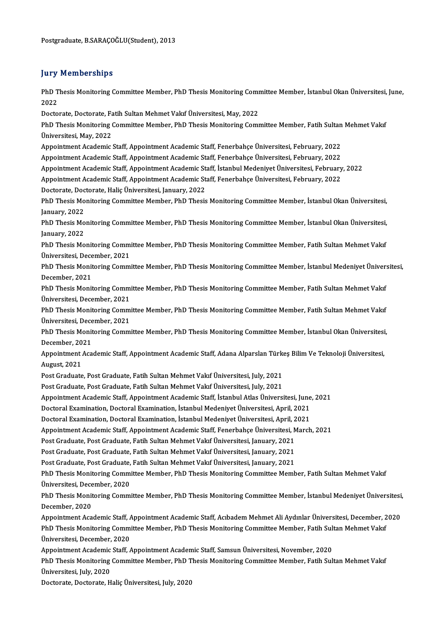#### **Jury Memberships**

**Jury Memberships**<br>PhD Thesis Monitoring Committee Member, PhD Thesis Monitoring Committee Member, İstanbul Okan Üniversitesi, June,<br>2022 yary<br>PhD T<br>2022 PhD Thesis Monitoring Committee Member, PhD Thesis Monitoring Comm<br>2022<br>Doctorate, Doctorate, Fatih Sultan Mehmet Vakıf Üniversitesi, May, 2022<br>PhD Thesis Monitoring Committee Member, PhD Thesis Monitoring Comm

Doctorate, Doctorate, Fatih Sultan Mehmet Vakıf Üniversitesi, May, 2022

2022<br>Doctorate, Doctorate, Fatih Sultan Mehmet Vakıf Üniversitesi, May, 2022<br>PhD Thesis Monitoring Committee Member, PhD Thesis Monitoring Committee Member, Fatih Sultan Mehmet Vakıf<br>Üniversitesi, May, 2022 PhD Thesis Monitoring Committee Member, PhD Thesis Monitoring Committee Member, Fatih Sultan<br>Üniversitesi, May, 2022<br>Appointment Academic Staff, Appointment Academic Staff, Fenerbahçe Üniversitesi, February, 2022<br>Appointme Üniversitesi, May, 2022<br>Appointment Academic Staff, Appointment Academic Staff, Fenerbahçe Üniversitesi, February, 2022<br>Appointment Academic Staff, Appointment Academic Staff, Fenerbahçe Üniversitesi, February, 2022<br>Appoin

Appointment Academic Staff, Appointment Academic Staff, Fenerbahçe Üniversitesi, February, 2022<br>Appointment Academic Staff, Appointment Academic Staff, Fenerbahçe Üniversitesi, February, 2022<br>Appointment Academic Staff, Ap Appointment Academic Staff, Appointment Academic Staff, Fenerbahçe Üniversitesi, February, 2022<br>Appointment Academic Staff, Appointment Academic Staff, İstanbul Medeniyet Üniversitesi, February, 2022

Appointment Academic Staff, Appointment Academic Staff, Fenerbahçe Üniversitesi, February, 2022

Doctorate, Doctorate, Haliç Üniversitesi, January, 2022

PhD Thesis Monitoring Committee Member, PhD Thesis Monitoring Committee Member, İstanbul Okan Üniversitesi, January, 2022 PhD Thesis Monitoring Committee Member, PhD Thesis Monitoring Committee Member, İstanbul Okan Üniversitesi,<br>January, 2022<br>PhD Thesis Monitoring Committee Member, PhD Thesis Monitoring Committee Member, İstanbul Okan Üniver

January, 2022<br>PhD Thesis Mo<br>January, 2022<br>PhD Thesis Mo PhD Thesis Monitoring Committee Member, PhD Thesis Monitoring Committee Member, İstanbul Okan Üniversitesi,<br>January, 2022<br>PhD Thesis Monitoring Committee Member, PhD Thesis Monitoring Committee Member, Fatih Sultan Mehmet

January, 2022<br>PhD Thesis Monitoring Committee Member, PhD Thesis Monitoring Committee Member, Fatih Sultan Mehmet Vakıf Üniversitesi, December, 2021

PhD Thesis Monitoring Committee Member, PhD Thesis Monitoring Committee Member, İstanbul Medeniyet Üniversitesi,<br>December, 2021 PhD Thesis Monitoring Committee Member, PhD Thesis Monitoring Committee Member, İstanbul Medeniyet Üniver:<br>December, 2021<br>PhD Thesis Monitoring Committee Member, PhD Thesis Monitoring Committee Member, Fatih Sultan Mehmet

December, 2021<br>PhD Thesis Monitoring Comm<br>Üniversitesi, December, 2021<br>PhD Thesis Monitoring Comm PhD Thesis Monitoring Committee Member, PhD Thesis Monitoring Committee Member, Fatih Sultan Mehmet Vakıf<br>Üniversitesi, December, 2021<br>PhD Thesis Monitoring Committee Member, PhD Thesis Monitoring Committee Member, Fatih S

Üniversitesi, December, 2021<br>PhD Thesis Monitoring Comm<br>Üniversitesi, December, 2021<br>PhD Thesis Monitoring Comm PhD Thesis Monitoring Committee Member, PhD Thesis Monitoring Committee Member, Fatih Sultan Mehmet Vakıf<br>Üniversitesi, December, 2021<br>PhD Thesis Monitoring Committee Member, PhD Thesis Monitoring Committee Member, İstanbu

Üniversitesi, December, 2021<br>PhD Thesis Monitoring Committee Member, PhD Thesis Monitoring Committee Member, İstanbul Okan Üniversitesi,<br>December, 2021 PhD Thesis Monitoring Committee Member, PhD Thesis Monitoring Committee Member, İstanbul Okan Üniversitesi<br>December, 2021<br>Appointment Academic Staff, Appointment Academic Staff, Adana Alparslan Türkeş Bilim Ve Teknoloji Ün

December, 20<br>Appointment<br>August, 2021<br>Pest Credusta Appointment Academic Staff, Appointment Academic Staff, Adana Alparslan Türk<br>August, 2021<br>Post Graduate, Post Graduate, Fatih Sultan Mehmet Vakıf Üniversitesi, July, 2021<br>Post Craduate, Post Craduate, Fatih Sultan Mehmet V

August, 2021<br>Post Graduate, Post Graduate, Fatih Sultan Mehmet Vakıf Üniversitesi, July, 2021<br>Post Graduate, Post Graduate, Fatih Sultan Mehmet Vakıf Üniversitesi, July, 2021

Appointment Academic Staff, Appointment Academic Staff, İstanbul Atlas Üniversitesi, June, 2021 Post Graduate, Post Graduate, Fatih Sultan Mehmet Vakıf Üniversitesi, July, 2021<br>Appointment Academic Staff, Appointment Academic Staff, İstanbul Atlas Üniversitesi, June<br>Doctoral Examination, Doctoral Examination, İstanbu Appointment Academic Staff, Appointment Academic Staff, İstanbul Atlas Üniversitesi, June<br>Doctoral Examination, Doctoral Examination, İstanbul Medeniyet Üniversitesi, April, 2021<br>Doctoral Examination, Doctoral Examination,

Doctoral Examination, Doctoral Examination, İstanbul Medeniyet Üniversitesi, April, 2021

Appointment Academic Staff, Appointment Academic Staff, Fenerbahçe Üniversitesi, March, 2021<br>Post Graduate, Post Graduate, Fatih Sultan Mehmet Vakıf Üniversitesi, January, 2021 Appointment Academic Staff, Appointment Academic Staff, Fenerbahçe Üniversitesi, N<br>Post Graduate, Post Graduate, Fatih Sultan Mehmet Vakıf Üniversitesi, January, 2021<br>Post Graduate, Post Graduate, Fatih Sultan Mehmet Vakıf

Post Graduate, Post Graduate, Fatih Sultan Mehmet Vakıf Üniversitesi, January, 2021<br>Post Graduate, Post Graduate, Fatih Sultan Mehmet Vakıf Üniversitesi, January, 2021<br>Post Graduate, Post Graduate, Fatih Sultan Mehmet Vakı

Post Graduate, Post Graduate, Fatih Sultan Mehmet Vakıf Üniversitesi, January, 2021<br>Post Graduate, Post Graduate, Fatih Sultan Mehmet Vakıf Üniversitesi, January, 2021<br>PhD Thesis Monitoring Committee Member, PhD Thesis Mon Post Graduate, Post Graduate,<br>PhD Thesis Monitoring Comm<br>Üniversitesi, December, 2020 PhD Thesis Monitoring Committee Member, PhD Thesis Monitoring Committee Member, Fatih Sultan Mehmet Vakıf<br>Üniversitesi, December, 2020<br>PhD Thesis Monitoring Committee Member, PhD Thesis Monitoring Committee Member, İstanbu

Üniversitesi, December, 2020<br>PhD Thesis Monitoring Comm<br>December, 2020 PhD Thesis Monitoring Committee Member, PhD Thesis Monitoring Committee Member, İstanbul Medeniyet Üniversitesi,<br>December, 2020<br>Appointment Academic Staff, Appointment Academic Staff, Acıbadem Mehmet Ali Aydınlar Üniversit

December, 2020<br>Appointment Academic Staff, Appointment Academic Staff, Acıbadem Mehmet Ali Aydınlar Üniversitesi, December, 2<br>PhD Thesis Monitoring Committee Member, PhD Thesis Monitoring Committee Member, Fatih Sultan Meh Appointment Academic Staff, A<br>PhD Thesis Monitoring Comm<br>Üniversitesi, December, 2020<br>Annointment Academic Staff PhD Thesis Monitoring Committee Member, PhD Thesis Monitoring Committee Member, Fatih Sultan Mehmet Vakıf<br>Üniversitesi, December, 2020<br>Appointment Academic Staff, Appointment Academic Staff, Samsun Üniversitesi, November,

Üniversitesi, December, 2020<br>Appointment Academic Staff, Appointment Academic Staff, Samsun Üniversitesi, November, 2020<br>PhD Thesis Monitoring Committee Member, PhD Thesis Monitoring Committee Member, Fatih Sultan Mehmet V Appointment Academic<br>PhD Thesis Monitoring<br>Üniversitesi, July, 2020<br>Pestenate Destanate H PhD Thesis Monitoring Committee Member, PhD T<br>Üniversitesi, July, 2020<br>Doctorate, Doctorate, Haliç Üniversitesi, July, 2020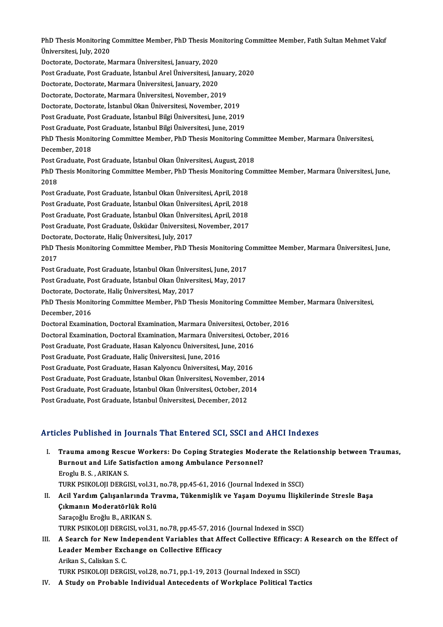PhD Thesis Monitoring Committee Member, PhD Thesis Monitoring Committee Member, Fatih Sultan Mehmet Vakıf<br>Ühivorsitesi July 2020 PhD Thesis Monitoring<br>Üniversitesi, July, 2020<br>Pesterate Desterate M PhD Thesis Monitoring Committee Member, PhD Thesis Mor<br>Üniversitesi, July, 2020<br>Doctorate, Doctorate, Marmara Üniversitesi, January, 2020<br>Post Craduate, Post Craduate, İstanbul Anel Üniversitesi, Jan Üniversitesi, July, 2020<br>Doctorate, Doctorate, Marmara Üniversitesi, January, 2020<br>Post Graduate, Post Graduate, İstanbul Arel Üniversitesi, January, 2020<br>Postorate, Dostorate, Marmare Üniversitesi, January, 2020 Doctorate, Doctorate, Marmara Üniversitesi, January, 2020<br>Post Graduate, Post Graduate, İstanbul Arel Üniversitesi, Jan<br>Doctorate, Doctorate, Marmara Üniversitesi, January, 2020<br>Doctorate, Doctorate, Marmara Üniversitesi, Post Graduate, Post Graduate, İstanbul Arel Üniversitesi, Janua<br>Doctorate, Doctorate, Marmara Üniversitesi, January, 2020<br>Doctorate, Doctorate, Marmara Üniversitesi, November, 2019<br>Doctorate, Doctorate, İstanbul Okan Ünive Doctorate, Doctorate, Marmara Üniversitesi, January, 2020<br>Doctorate, Doctorate, Marmara Üniversitesi, November, 2019<br>Doctorate, Doctorate, İstanbul Okan Üniversitesi, November, 2019 Doctorate, Doctorate, Marmara Üniversitesi, November, 2019<br>Doctorate, Doctorate, İstanbul Okan Üniversitesi, November, 2019<br>Post Graduate, Post Graduate, İstanbul Bilgi Üniversitesi, June, 2019<br>Post Craduate, Post Craduate Doctorate, Doctorate, İstanbul Okan Üniversitesi, November, 2019<br>Post Graduate, Post Graduate, İstanbul Bilgi Üniversitesi, June, 2019<br>Post Graduate, Post Graduate, İstanbul Bilgi Üniversitesi, June, 2019<br>PhD Thesis Monito Post Graduate, Post Graduate, İstanbul Bilgi Üniversitesi, June, 2019<br>Post Graduate, Post Graduate, İstanbul Bilgi Üniversitesi, June, 2019<br>PhD Thesis Monitoring Committee Member, PhD Thesis Monitoring Committee Member, Ma Post Graduate, Po<br>PhD Thesis Monit<br>December, 2018<br>Post Craduate, Po PhD Thesis Monitoring Committee Member, PhD Thesis Monitoring Con<br>December, 2018<br>Post Graduate, Post Graduate, İstanbul Okan Üniversitesi, August, 2018<br>PhD Thesis Monitoring Committee Member, PhD Thesis Monitoring Com December, 2018<br>Post Graduate, Post Graduate, İstanbul Okan Üniversitesi, August, 2018<br>PhD Thesis Monitoring Committee Member, PhD Thesis Monitoring Committee Member, Marmara Üniversitesi, June,<br>2018 Post G<br>PhD T<br>2018<br>Post C PhD Thesis Monitoring Committee Member, PhD Thesis Monitoring Co<br>2018<br>Post Graduate, Post Graduate, İstanbul Okan Üniversitesi, April, 2018<br>Post Craduate, Post Graduate, İstanbul Okan Üniversitesi, April, 2019 2018<br>Post Graduate, Post Graduate, İstanbul Okan Üniversitesi, April, 2018<br>Post Graduate, Post Graduate, İstanbul Okan Üniversitesi, April, 2018 Post Graduate, Post Graduate, İstanbul Okan Üniversitesi, April, 2018 Post Graduate, Post Graduate, Üsküdar Üniversitesi, November, 2017 Post Graduate, Post Graduate, İstanbul Okan Üniver<br>Post Graduate, Post Graduate, Üsküdar Üniversitesi<br>Doctorate, Doctorate, Haliç Üniversitesi, July, 2017<br>PhD Thesis Monitoring Committee Member, PhD Th Post Graduate, Post Graduate, Üsküdar Üniversitesi, November, 2017<br>Doctorate, Doctorate, Haliç Üniversitesi, July, 2017<br>PhD Thesis Monitoring Committee Member, PhD Thesis Monitoring Committee Member, Marmara Üniversitesi, Docto<br>PhD T<br>2017<br><sup>Post C</sup> PhD Thesis Monitoring Committee Member, PhD Thesis Monitoring C<br>2017<br>Post Graduate, Post Graduate, İstanbul Okan Üniversitesi, June, 2017<br>Post Craduate, Post Craduate, İstanbul Okan Üniversitesi, May, 2017 2017<br>Post Graduate, Post Graduate, İstanbul Okan Üniversitesi, June, 2017<br>Post Graduate, Post Graduate, İstanbul Okan Üniversitesi, May, 2017<br>Postorate, Dostorate, Halis Üniversitesi, May, 2017 Post Graduate, Post Graduate, İstanbul Okan Üniver<br>Post Graduate, Post Graduate, İstanbul Okan Üniver<br>Doctorate, Doctorate, Haliç Üniversitesi, May, 2017<br>PhD Thesis Monitoring Committee Member, PhD Th Post Graduate, Post Graduate, İstanbul Okan Üniversitesi, May, 2017<br>Doctorate, Doctorate, Haliç Üniversitesi, May, 2017<br>PhD Thesis Monitoring Committee Member, PhD Thesis Monitoring Committee Member, Marmara Üniversitesi,<br> Doctorate, Doctorate, Haliç Üniversitesi, May, 2017<br>PhD Thesis Monitoring Committee Member, PhD Tl<br>December, 2016 PhD Thesis Monitoring Committee Member, PhD Thesis Monitoring Committee Men<br>December, 2016<br>Doctoral Examination, Doctoral Examination, Marmara Üniversitesi, October, 2016<br>Doctoral Examination, Doctoral Examination, Marmara Doctoral Examination, Doctoral Examination, Marmara Üniversitesi, October, 2016<br>Doctoral Examination, Doctoral Examination, Marmara Üniversitesi, October, 2016 Doctoral Examination, Doctoral Examination, Marmara Üniversitesi, Oct<br>Doctoral Examination, Doctoral Examination, Marmara Üniversitesi, Oct<br>Post Graduate, Post Graduate, Hasan Kalyoncu Üniversitesi, June, 2016<br>Post Craduat Doctoral Examination, Doctoral Examination, Marmara Ünive<br>Post Graduate, Post Graduate, Hasan Kalyoncu Üniversitesi, J<br>Post Graduate, Post Graduate, Haliç Üniversitesi, June, 2016<br>Post Craduate, Post Craduate, Hasan Kalyon Post Graduate, Post Graduate, Hasan Kalyoncu Üniversitesi, June, 2016<br>Post Graduate, Post Graduate, Haliç Üniversitesi, June, 2016<br>Post Graduate, Post Graduate, Hasan Kalyoncu Üniversitesi, May, 2016<br>Post Craduate, Post Cr Post Graduate, Post Graduate, Haliç Üniversitesi, June, 2016<br>Post Graduate, Post Graduate, Hasan Kalyoncu Üniversitesi, May, 2016<br>Post Graduate, Post Graduate, İstanbul Okan Üniversitesi, November, 2014<br>Post Graduate, Post Post Graduate, Post Graduate, Hasan Kalyoncu Üniversitesi, May, 2016<br>Post Graduate, Post Graduate, İstanbul Okan Üniversitesi, November, 201<br>Post Graduate, Post Graduate, İstanbul Okan Üniversitesi, October, 2014<br>Post Grad Post Graduate, Post Graduate, İstanbul Okan Üniversitesi, November,<br>Post Graduate, Post Graduate, İstanbul Okan Üniversitesi, October, 20<br>Post Graduate, Post Graduate, İstanbul Üniversitesi, December, 2012

# Post Graduate, Post Graduate, İstanbul Üniversitesi, December, 2012<br>Articles Published in Journals That Entered SCI, SSCI and AHCI Indexes

rticles Published in Journals That Entered SCI, SSCI and AHCI Indexes<br>I. Trauma among Rescue Workers: Do Coping Strategies Moderate the Relationship between Traumas,<br>Purpout and Life Satisfaction among Ambulance Personnel? Burn a among Rescue Workers: Do Coping Strategies Mode<br>Burnout and Life Satisfaction among Ambulance Personnel?<br>Fresh: B. S. APIVAN S. **Trauma among Rescu<br>Burnout and Life Sat<br>Eroglu B. S. , ARIKAN S.<br>TURK REIKOLOU DERCI** Burnout and Life Satisfaction among Ambulance Personnel?<br>Eroglu B. S. , ARIKAN S.<br>TURK PSIKOLOJI DERGISI, vol.31, no.78, pp.45-61, 2016 (Journal Indexed in SSCI)<br>Asil Yardım Calisanlarında Trauma, Tükanmişlik ve Yasam Dovu Eroglu B. S. , ARIKAN S.<br>TURK PSIKOLOJI DERGISI, vol.31, no.78, pp.45-61, 2016 (Journal Indexed in SSCI)<br>II. Acil Yardım Çalışanlarında Travma, Tükenmişlik ve Yaşam Doyumu İlişkilerinde Stresle Başa<br>Çıkmanın Moderatörl TURK PSIKOLOJI DERGISI, vol.31,<br>Acil Yardım Çalışanlarında Tr<br>Çıkmanın Moderatörlük Rolü<br>Sarasoğlu Enoğlu B. ABIKAN S Saraçoğlu Eroğlu B., ARIKAN S. TURK PSIKOLOJI DERGISI, vol.31, no.78, pp.45-57, 2016 (Journal Indexed in SSCI) Saraçoğlu Eroğlu B., ARIKAN S.<br>I I. A Search for New Independent Variables that Affect Collective Efficacy: A Research on the Effect of<br>I order Member Exchange on Collective Efficacy. TURK PSIKOLOJI DERGISI, vol.31, no.78, pp.45-57, 2016<br>A Search for New Independent Variables that Af<br>Leader Member Exchange on Collective Efficacy<br>Arikan S. Coliekan S. C **A Search for New In<br>Leader Member Excl<br>Arikan S., Caliskan S. C.<br>TURK RSIKOLOU DERC** Leader Member Exchange on Collective Efficacy<br>Arikan S., Caliskan S. C.<br>TURK PSIKOLOJI DERGISI, vol.28, no.71, pp.1-19, 2013 (Journal Indexed in SSCI)

IV. A Study on Probable Individual Antecedents of Workplace Political Tactics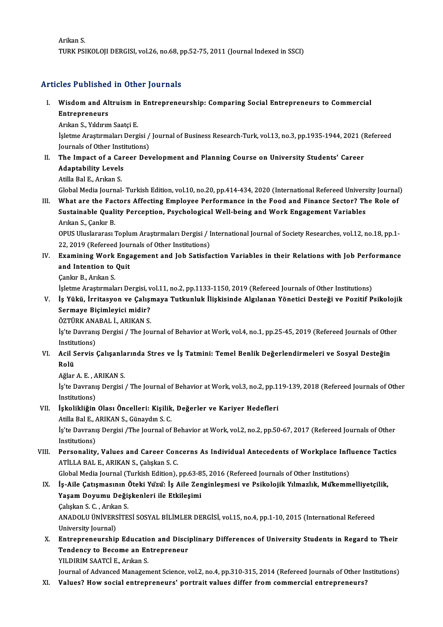ArikanS. TURK PSIKOLOJI DERGISI, vol.26, no.68, pp.52-75, 2011 (Journal Indexed in SSCI)

Articles Published in Other Journals

rticles Published in Other Journals<br>I. Wisdom and Altruism in Entrepreneurship: Comparing Social Entrepreneurs to Commercial<br>Entrepreneurs Wisdom and Altruism i<mark>r</mark><br>Entrepreneurs<br>Arıkan S., Yıldırım Saatçi E.<br>İslatma Arastırmaları Darg

Entrepreneurs<br>Arıkan S., Yıldırım Saatçi E.

Entrepreneurs<br>Arıkan S., Yıldırım Saatçi E.<br>İşletme Araştırmaları Dergisi / Journal of Business Research-Turk, vol.13, no.3, pp.1935-1944, 2021 (Refereed<br>Journals ef Otber Institutions) Arıkan S., Yıldırım Saatçi E.<br>İşletme Araştırmaları Dergisi /<br>Journals of Other Institutions)<br>The Imnast of a Career Dev Isletme Arastırmaları Dergisi / Journal of Business Research-Turk, vol.13, no.3, pp.1935-1944, 2021 (I<br>Journals of Other Institutions)<br>II. The Impact of a Career Development and Planning Course on University Students' Care

- Journals of Other Insti<br>The Impact of a Car<br>Adaptability Levels<br>Atilla Pal E. Aultan S Adaptability Levels<br>Atilla Bal E., Arıkan S. Adaptability Levels<br>Atilla Bal E., Arıkan S.<br>Global Media Journal-Turkish Edition, vol.10, no.20, pp.414-434, 2020 (International Refereed University Journal)<br>What are the Festers Affesting Empleyee Berfermanee in the Eeed
	-

III. What are the Factors Affecting Employee Performance in the Food and Finance Sector? The Role of Sustainable Quality Perception, Psychological Well-being and Work Engagement Variables Global Media Journal- Turkish Edition, vol.10, no.20, pp.414-434, 2020 (International Refereed Univers<br>What are the Factors Affecting Employee Performance in the Food and Finance Sector? Th<br>Sustainable Quality Perception, Arıkan S., Çankır B. Sustainable Quality Perception, Psychological Well-being and Work Engagement Variables<br>Arıkan S., Çankır B.<br>OPUS Uluslararası Toplum Araştırmaları Dergisi / International Journal of Society Researches, vol.12, no.18, pp.1-

Arıkan S., Çankır B.<br>OPUS Uluslararası Toplum Araştırmaları Dergisi / I<br>22, 2019 (Refereed Journals of Other Institutions)<br>Examining Work Engagement and Job Satisfa OPUS Uluslararası Toplum Araştırmaları Dergisi / International Journal of Society Researches, vol.12, no.18, pp.1-<br>22, 2019 (Refereed Journals of Other Institutions)<br>IV. Examining Work Engagement and Job Satisfaction Varia

### 22, 2019 (Refereed Journal Intention to Quit<br>and Intention to Quit<br>Canky B. Aykan S. Examining Work<br>and Intention to<br>Cankır B., Arıkan S.<br>İslatma Arastırmala and Intention to Quit<br>Çankır B., Arıkan S.<br>İşletme Araştırmaları Dergisi, vol.11, no.2, pp.1133-1150, 2019 (Refereed Journals of Other Institutions)<br>İs Vültü, İnsitasyon ve Calismava Tutkunluk İliskisinde Algılanan Vänetis

### Çankır B., Arıkan S.<br>İşletme Araştırmaları Dergisi, vol.11, no.2, pp.1133-1150, 2019 (Refereed Journals of Other Institutions)<br>V. İş Yükü, İrritasyon ve Çalışmaya Tutkunluk İlişkisinde Algılanan Yönetici Desteği ve Pozitif İşletme Araştırmaları Dergisi, v<br>İş Yükü, İrritasyon ve Çalışı<br>Sermaye Biçimleyici midir?<br>ÖZTÜPKANARAL İ. APIKAN S İş Yükü, İrritasyon ve Çalışı<br>Sermaye Biçimleyici midir?<br>ÖZTÜRK ANABAL İ., ARIKAN S.<br>İs'te Deyrenye Dergisi / The Jey

İş'te Davranış Dergisi / The Journal of Behavior at Work, vol.4, no.1, pp.25-45, 2019 (Refereed Journals of Other<br>Institutions) ÖZTÜRK ANA<br>İş'te Davranı<br>Institutions)<br>Agil Sanyis ( İş'te Davranış Dergisi / The Journal of Behavior at Work, vol.4, no.1, pp.25-45, 2019 (Refereed Journals of Othe<br>Institutions)<br>VI. Acil Servis Çalışanlarında Stres ve İş Tatmini: Temel Benlik Değerlendirmeleri ve Sosyal

## Institu<br>Acil S<br>Rolü Acil Servis Çalışanla<br>Rolü<br>Ağlar A.E., ARIKAN S.

Rolü<br>Ağlar A. E. , ARIKAN S.<br>İş'te Davranış Dergisi / The Journal of Behavior at Work, vol.3, no.2, pp.119-139, 2018 (Refereed Journals of Other Ağlar A. E. , A<br>İş'te Davranı<br>Institutions)<br>İskalikliğin İş'te Davranış Dergisi / The Journal of Behavior at Work, vol.3, no.2, pp.1<br>Institutions)<br>VII. İşkolikliğin Olası Öncelleri: Kişilik, Değerler ve Kariyer Hedefleri<br>Atile Pol E. ADIKAN S. Günaydur S. G

# Institutions)<br>İşkolikliğin Olası Öncelleri: Kişilik<br>Atilla Bal E., ARIKAN S., Günaydın S. C.<br>İs'te Dayranıs Dergisi /The Journal of

Atilla Bal E., ARIKAN S., Günaydın S. C.

İş'te Davranış Dergisi /The Journal of Behavior at Work, vol.2, no.2, pp.50-67, 2017 (Refereed Journals of Other<br>Institutions) is'te Davranış Dergisi /The Journal of Behavior at Work, vol.2, no.2, pp.50-67, 2017 (Refereed Journals of Other<br>Institutions)<br>VIII. Personality, Values and Career Concerns As Individual Antecedents of Workplace Influence

## Institutions)<br>Personality, Values and Career Con<br>ATİLLA BAL E., ARIKAN S., Çalışkan S. C.<br>Clabel Media Journal (Turkich Edition) Personality, Values and Career Concerns As Individual Antecedents of Workplace Infl<br>ATİLLA BAL E., ARIKAN S., Çalışkan S. C.<br>Global Media Journal (Turkish Edition), pp.63-85, 2016 (Refereed Journals of Other Institutions)<br>

### ATİLLA BAL E., ARIKAN S., Çalışkan S. C.<br>Global Media Journal (Turkish Edition), pp.63-85, 2016 (Refereed Journals of Other Institutions)<br>IX. İş-Aile Çatışmasının Öteki Yüzü: İş Aile Zenginleşmesi ve Psikolojik Yılmazlık, Global Media Journal (Turkish Edition), pp.63-8<br>İş-Aile Çatışmasının Öteki Yüzü: İş Aile Zer<br>Yaşam Doyumu Değişkenleri ile Etkileşimi<br>Cakakan S.C. Arıkan S İş-Aile Çatışmasının (<br>Yaşam Doyumu Deği:<br>Çalışkan S. C. , Arıkan S.<br>ANADOLU ÜNİVERSİTE

Yaşam Doyumu Değişkenleri ile Etkileşimi<br>Çalışkan S. C. , Arıkan S.<br>ANADOLU ÜNİVERSİTESİ SOSYAL BİLİMLER DERGİSİ, vol.15, no.4, pp.1-10, 2015 (International Refereed<br>University Journal) Calışkan S. C. , Arıka<br>ANADOLU ÜNİVERS<br>University Journal)<br>Entrennen eurebir ANADOLU ÜNİVERSİTESİ SOSYAL BİLİMLER DERGİSİ, vol.15, no.4, pp.1-10, 2015 (International Refereed<br>University Journal)<br>X. Entrepreneurship Education and Disciplinary Differences of University Students in Regard to Their<br>Ton

### University Journal)<br>Entrepreneurship Education and Disci<br>Tendency to Become an Entrepreneur<br>YU DIPIM SAATCLE, Arrian S Entrepreneurship Education<br>Tendency to Become an Ent<br>YILDIRIM SAATCİ E., Arıkan S.<br>Journal of Advanced Managem Tendency to Become an Entrepreneur<br>YILDIRIM SAATCİ E., Arıkan S.<br>Journal of Advanced Management Science, vol.2, no.4, pp.310-315, 2014 (Refereed Journals of Other Institutions)

XI. Values? Howsocial entrepreneurs' portrait values differ fromcommercial entrepreneurs?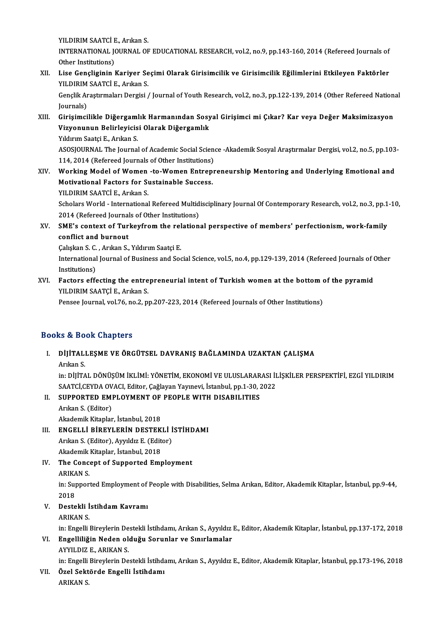YILDIRIM SAATCİ E. Arıkan S.

YILDIRIM SAATCİ E., Arıkan S.<br>INTERNATIONAL JOURNAL OF EDUCATIONAL RESEARCH, vol.2, no.9, pp.143-160, 2014 (Refereed Journals of YILDIRIM SAATCI<br>INTERNATIONAL JO<br>Other Institutions)<br>Lise Consliginin L INTERNATIONAL JOURNAL OF EDUCATIONAL RESEARCH, vol.2, no.9, pp.143-160, 2014 (Refereed Journals of<br>Other Institutions)<br>XII. Lise Gençliginin Kariyer Seçimi Olarak Girisimcilik ve Girisimcilik Eğilimlerini Etkileyen Faktörl

# Other Institutions)<br>XII. Lise Gençliginin Kariyer Seçimi Olarak Girisimcilik ve Girisimcilik Eğilimlerini Etkileyen Faktörler<br>YILDIRIM SAATCİ E., Arıkan S.

Gençlik Araştırmaları Dergisi / Journal of Youth Research, vol.2, no.3, pp.122-139, 2014 (Other Refereed National Journals) Gençlik Araştırmaları Dergisi / Journal of Youth Research, vol.2, no.3, pp.122-139, 2014 (Other Refereed Nation<br>Journals)<br>XIII. Girişimcilikle Diğergamlık Harmanından Sosyal Girişimci mi Çıkar? Kar veya Değer Maksimizasyon

Journals)<br>Girişimcilikle Diğergamlık Harmanından Sosy<br>Vizyonunun Belirleyicisi Olarak Diğergamlık<br>Yıldırım Saatsi E. Arıkan S Girişimcilikle Diğergaml<br>Vizyonunun Belirleyicis<br>Yıldırım Saatçi E., Arıkan S.<br>ASOSIOUPNAL The Journal Vizyonunun Belirleyicisi Olarak Diğergamlık<br>Yıldırım Saatçi E., Arıkan S.<br>ASOSJOURNAL The Journal of Academic Social Science -Akademik Sosyal Araştırmalar Dergisi, vol.2, no.5, pp.103-

Yıldırım Saatçi E., Arıkan S.<br>ASOSJOURNAL The Journal of Academic Social Scien<br>114, 2014 (Refereed Journals of Other Institutions)<br>Working Model of Women, to Women Entrepr ASOSJOURNAL The Journal of Academic Social Science -Akademik Sosyal Araştırmalar Dergisi, vol.2, no.5, pp.103<br>114, 2014 (Refereed Journals of Other Institutions)<br>XIV. Working Model of Women -to-Women Entrepreneurship Mento

114, 2014 (Refereed Journals of Other Institutions)<br>Working Model of Women -to-Women Entrep<br>Motivational Factors for Sustainable Success.<br>VU DIPIM SAATCLE Arrian S Working Model of Women<br>Motivational Factors for St<br>YILDIRIM SAATCİ E., Arıkan S.<br>Sebelers Werld, International Motivational Factors for Sustainable Success.<br>YILDIRIM SAATCİ E., Arıkan S.<br>Scholars World - International Refereed Multidisciplinary Journal Of Contemporary Research, vol.2, no.3, pp.1-10,<br>2014 (Refereed Journals of Other YILDIRIM SAATCİ E., Arıkan S.<br>Scholars World - International Refereed Multid<br>2014 (Refereed Journals of Other Institutions)<br>SME's context of Turkeyfnom the relation

Scholars World - International Refereed Multidisciplinary Journal Of Contemporary Research, vol.2, no.3, pp.1<br>2014 (Refereed Journals of Other Institutions)<br>XV. SME's context of Turkeyfrom the relational perspective of mem

2014 (Refereed Journal<br>SME's context of Tur<br>conflict and burnout SME's context of Turkeyfrom the rel<br>conflict and burnout<br>Çalışkan S. C. , Arıkan S., Yıldırım Saatçi E.<br>International Journal of Business and Sea

Çalışkan S. C., Arıkan S., Yıldırım Saatçi E.

conflict and burnout<br>
Galışkan S. C. , Arıkan S., Yıldırım Saatçi E.<br>
International Journal of Business and Social Science, vol.5, no.4, pp.129-139, 2014 (Refereed Journals of Other<br>
Institutions) International Journal of Business and Social Science, vol.5, no.4, pp.129-139, 2014 (Refereed Journals of (<br>Institutions)<br>XVI. Factors effecting the entrepreneurial intent of Turkish women at the bottom of the pyramid<br>XVI.

## Institutions)<br>Factors effecting the entre<br>YILDIRIM SAATÇİ E., Arıkan S.<br>Pensee Journal vel 76 ne 2 n Factors effecting the entrepreneurial intent of Turkish women at the bottom of<br>YILDIRIM SAATÇİ E., Arıkan S.<br>Pensee Journal, vol.76, no.2, pp.207-223, 2014 (Refereed Journals of Other Institutions)

Pensee Journal, vol.76, no.2, pp.207-223, 2014 (Refereed Journals of Other Institutions)<br>Books & Book Chapters

ooks & Book Chapters<br>I. DİJİTALLEŞME VE ÖRGÜTSEL DAVRANIŞ BAĞLAMINDA UZAKTAN ÇALIŞMA<br>Arkan S کا کا کا<br>DijiTAL<br>Arıkan S. DİJİTALLEŞME VE ÖRGÜTSEL DAVRANIŞ BAĞLAMINDA UZAKTAN ÇALIŞMA<br>Arıkan S.<br>in: DİJİTAL DÖNÜŞÜM İKLİMİ: YÖNETİM, EKONOMİ VE ULUSLARARASI İLİŞKİLER PERSPEKTİFİ, EZGİ YILDIRIM<br>SAATÇİ CEVDA QVAÇL Editor Goğlavor Yavrayi, İstanbul

Arıkan S.<br>in: DİJİTAL DÖNÜŞÜM İKLİMİ: YÖNETİM, EKONOMİ VE ULUSLARARASI İI<br>SAATCİ,CEYDA OVACI, Editor, Çağlayan Yayınevi, İstanbul, pp.1-30, 2022<br>SUPRORTED EMBLOYMENT OF REORLE WITH DISARLI TIES in: DİJİTAL DÖNÜŞÜM İKLİMİ: YÖNETİM, EKONOMİ VE ULUSLARAR<br>SAATCİ,CEYDA OVACI, Editor, Çağlayan Yayınevi, İstanbul, pp.1-30, 2<br>II. SUPPORTED EMPLOYMENT OF PEOPLE WITH DISABILITIES<br>Arılm S. (Editor)

## SAATCİ,CEYDA OVACI, Editor, Çağlayan Yayınevi, İstanbul, pp.1-30, 2022<br>II. SUPPORTED EMPLOYMENT OF PEOPLE WITH DISABILITIES<br>Arıkan S. (Editor)

Akademik Kitaplar, İstanbul, 2018

- Arıkan S. (Editor)<br>Akademik Kitaplar, İstanbul, 2018<br>III. ENGELLİ BİREYLERİN DESTEKLİ İSTİHDAMI<br>Arıkan S. (Editor), Ayulduz E. (Editor) Akademik Kitaplar, İstanbul, 2018<br>**ENGELLİ BİREYLERİN DESTEKLİ İ**<br>Arıkan S. (Editor), Ayyıldız E. (Editor)<br>Akademik Kitaplar, İstanbul, 2019 ENGELLI BIREYLERIN DESTEK<br>Arıkan S. (Editor), Ayyıldız E. (Edit<br>Akademik Kitaplar, İstanbul, 2018<br>The Concent of Sunnerted Emr Arıkan S. (Editor), Ayyıldız E. (Editor)<br>Akademik Kitaplar, İstanbul, 2018<br>IV. The Concept of Supported Employment<br>ARIKAN S.
- Akademik<br>The Conce<br>ARIKAN S.<br>in: Supper The Concept of Supported Employment<br>ARIKAN S.<br>in: Supported Employment of People with Disabilities, Selma Arıkan, Editor, Akademik Kitaplar, İstanbul, pp.9-44,<br>2018 ARIKA<br>in: Su<sub>l</sub><br>2018<br>Deste

in: Supported Employment of<br>2018<br>V. Destekli İstihdam Kavramı<br>APIKAN S 2018<br>Destekli İ<br>ARIKAN S.<br>in: Engelli İ

ARIKAN S.<br>in: Engelli Bireylerin Destekli İstihdamı, Arıkan S., Ayyıldız E., Editor, Akademik Kitaplar, İstanbul, pp.137-172, 2018

ARIKAN S.<br>in: Engelli Bireylerin Destekli İstihdamı, Arıkan S., Ayyıldız<br>VI. Engelliliğin Neden olduğu Sorunlar ve Sınırlamalar<br>AVVII DIZ E. ARIKAN S. in: Engelli Bireylerin De<br><mark>Engelliliğin Neden ol</mark><br>AYYILDIZ E., ARIKAN S.<br>in: Engelli Bireylerin De Engelliliğin Neden olduğu Sorunlar ve Sınırlamalar<br>AYYILDIZ E., ARIKAN S.<br>in: Engelli Bireylerin Destekli İstihdamı, Arıkan S., Ayyıldız E., Editor, Akademik Kitaplar, İstanbul, pp.173-196, 2018<br>Özel Sektörde Engelli İstih

AYYILDIZ E., ARIKAN S.<br>in: Engelli Bireylerin Destekli İstihda<br>VII. Özel Sektörde Engelli İstihdamı<br>ARIKAN S. in: Engelli<br><mark>Özel Sekt</mark><br>ARIKAN S.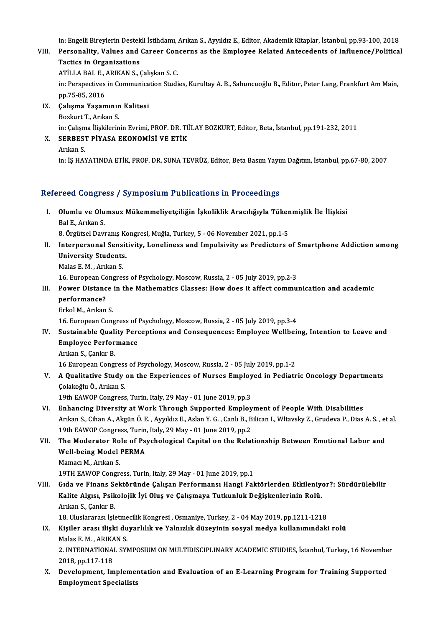in: Engelli Bireylerin Destekli İstihdamı, Arıkan S., Ayyıldız E., Editor, Akademik Kitaplar, İstanbul, pp.93-100, 2018<br>Persenality, Values and Cansen Consenne as the Empleyee Belated Antesadenta of Influence (Belitise)

### in: Engelli Bireylerin Destekli İstihdamı, Arıkan S., Ayyıldız E., Editor, Akademik Kitaplar, İstanbul, pp.93-100, 2018<br>VIII. Personality, Values and Career Concerns as the Employee Related Antecedents of Influence/Pol in: Engelli Bireylerin Destek<br>Personality, Values and<br>Tactics in Organizations Personality, Values and Career Con<br>Tactics in Organizations<br>ATİLLA BAL E., ARIKAN S., Çalışkan S. C.<br>in: Perspectives in Communisation Studi

Tactics in Organizations<br>ATİLLA BAL E., ARIKAN S., Çalışkan S. C.<br>in: Perspectives in Communication Studies, Kurultay A. B., Sabuncuoğlu B., Editor, Peter Lang, Frankfurt Am Main,<br>pp.75-85, 2016 ATİLLA BAL E., .<br>in: Perspectives<br>pp.75-85, 2016<br>Calisma Vasar in: Perspectives in Communica<br>pp.75-85, 2016<br>IX. Çalışma Yaşamının Kalitesi<br>Pozlayt T. Arıkan S

pp.75-85, 2016<br>**Çalışma Yaşamının**<br>Bozkurt T., Arıkan S.<br>in: Calsma İliskilerin

Çalışma Yaşamının Kalitesi<br>Bozkurt T., Arıkan S.<br>in: Çalışma İlişkilerinin Evrimi, PROF. DR. TÜLAY BOZKURT, Editor, Beta, İstanbul, pp.191-232, 2011<br>SERREST RİVASA EKONOMİSİ VE ETİK

### Bozkurt T., Arıkan S.<br>in: Çalışma İlişkilerinin Evrimi, PROF. DR. TÜ<br>X. SERBEST PİYASA EKONOMİSİ VE ETİK<br>Arıkan S. in: Çalışm<br>SERBES.<br>Arıkan S.<br>in: İS HAN

in: İŞHAYATINDAETİK,PROF.DR.SUNATEVRÜZ,Editor,BetaBasımYayımDağıtım, İstanbul,pp.67-80,2007

#### Refereed Congress / Symposium Publications in Proceedings

efereed Congress / Symposium Publications in Proceedings<br>I. Olumlu ve Olumsuz Mükemmeliyetçiliğin İşkoliklik Aracılığıyla Tükenmişlik İle İlişkisi<br>Ral E. Arıkan S ncea congre<br>Olumlu ve Olu<br>Bal E., Arıkan S.<br>8. Özgüteel Devr Olumlu ve Olumsuz Mükemmeliyetçiliğin İşkoliklik Aracılığıyla Tüker<br>Bal E., Arıkan S.<br>8. Örgütsel Davranış Kongresi, Muğla, Turkey, 5 - 06 November 2021, pp.1-5<br>Internaracanal Sansitivity, Laneliness and Impulsivity as Bra

Bal E., Arıkan S.<br>1991 - 8. Örgütsel Davranış Kongresi, Muğla, Turkey, 5 - 06 November 2021, pp.1-5<br>1991 - Interpersonal Sensitivity, Loneliness and Impulsivity as Predictors of Smartphone Addiction among 8. Örgütsel Davranış Ko<br>Interpersonal Sensit<br>University Students.<br>Malas E.M. Arıkan S Interpersonal Sensi<br>University Students<br>Malas E. M. , Arıkan S.<br>16 Euronean Constes

Malas E. M. , Arikan S.<br>16. European Congress of Psychology, Moscow, Russia, 2 - 05 July 2019, pp.2-3

### Malas E. M. , Arıkan S.<br>16. European Congress of Psychology, Moscow, Russia, 2 - 05 July 2019, pp.2-3<br>III. Power Distance in the Mathematics Classes: How does it affect communication and academic<br>norformance? 16. European Co<br>Power Distanc<br>performance?<br>Erkel M. Arken Power Distance<br>performance?<br>Erkol M., Arıkan S.<br>16. European Cone performance?<br>Erkol M., Arıkan S.<br>16. European Congress of Psychology, Moscow, Russia, 2 - 05 July 2019, pp.3-4<br>Sustainable Quality Persentions and Consequences: Empleyee Wellbeit

- Erkol M., Arikan S.<br>16. European Congress of Psychology, Moscow, Russia, 2 05 July 2019, pp.3-4<br>IV. Sustainable Quality Perceptions and Consequences: Employee Wellbeing, Intention to Leave and<br>Employee Performance **16. European Congress of Sustainable Quality Perchormance**<br>Employee Performance Employee Performance<br>Arıkan S., Çankır B.<br>16 European Congress of Psychology, Moscow, Russia, 2 - 05 July 2019, pp.1-2<br>A Qualitative Study on the Eunerianese of Nurses Employed in Bediatr
	- Arıkan S., Çankır B.

V. A Qualitative Study on the Experiences of Nurses Employed in Pediatric Oncology Departments 16 European Congress<br>**A Qualitative Study**<br>Çolakoğlu Ö., Arıkan S.<br>10th EAWOP Congress

19th EAWOP Congress, Turin, Italy, 29 May - 01 June 2019, pp.3

- Colakoğlu Ö., Arıkan S.<br>19th EAWOP Congress, Turin, Italy, 29 May 01 June 2019, pp.3<br>VI. Enhancing Diversity at Work Through Supported Employment of People With Disabilities 19th EAWOP Congress, Turin, Italy, 29 May - 01 June 2019, pp.3<br>Enhancing Diversity at Work Through Supported Employment of People With Disabilities<br>Arıkan S., Cihan A., Akgün Ö. E. , Ayyıldız E., Aslan Y. G. , Canlı B., Bi Enhancing Diversity at Work Through Supported Employ<br>Arıkan S., Cihan A., Akgün Ö. E. , Ayyıldız E., Aslan Y. G. , Canlı B., B<br>19th EAWOP Congress, Turin, Italy, 29 May - 01 June 2019, pp.2<br>The Mederater Bole of Baychologi Arıkan S., Cihan A., Akgün Ö. E. , Ayyıldız E., Aslan Y. G. , Canlı B., Bilican I., Wltavsky Z., Grudeva P., Dias A. S. , et<br>19th EAWOP Congress, Turin, Italy, 29 May - 01 June 2019, pp.2<br>VII. The Moderator Role of Psychol
- 19th EAWOP Congress, Turin<br>The Moderator Role of Ps<br>Well-being Model PERMA<br>Momac M. Arkan S The Moderator Ro<br>Well-being Model<br>Mamacı M., Arıkan S.<br>19TH FAWOB Congr

Mamacı M., Arıkan S.<br>19TH EAWOP Congress, Turin, Italy, 29 May - 01 June 2019, pp.1

Mamacı M., Arıkan S.<br>19TH EAWOP Congress, Turin, Italy, 29 May - 01 June 2019, pp.1<br>VIII. Gıda ve Finans Sektöründe Çalışan Performansı Hangi Faktörlerden Etkileniyor?: Sürdürülebilir<br>Kalita Algısı, Baikalajik İyi Olus 19TH EAWOP Congress, Turin, Italy, 29 May - 01 June 2019, pp.1<br>Gıda ve Finans Sektöründe Çalışan Performansı Hangi Faktörlerden Etkileniye<br>Kalite Algısı, Psikolojik İyi Oluş ve Çalışmaya Tutkunluk Değişkenlerinin Rolü.<br>Arı Gida ve Finans Se<br>Kalite Algısı, Psik<br>Arıkan S., Çankır B.<br>19. Uluslaransa İsk Kalite Algısı, Psikolojik İyi Oluş ve Çalışmaya Tutkunluk Değişkenlerinin Rolü.<br>Arıkan S., Çankır B.<br>18. Uluslararası İşletmecilik Kongresi , Osmaniye, Turkey, 2 - 04 May 2019, pp.1211-1218<br>Kişilar arası ilişki duyarlılık

### Arıkan S., Çankır B.<br>18. Uluslararası İşletmecilik Kongresi , Osmaniye, Turkey, 2 - 04 May 2019, pp.1211-1218<br>IX. Kişiler arası ilişki duyarlılık ve Yalnızlık düzeyinin sosyal medya kullanımındaki rolü<br>Malas E. M. , ARIKAN 18. Uluslararası İşletme<br>Kişiler arası ilişki du<br>Malas E. M. , ARIKAN S.<br>2. INTERNATIONAL SV Kişiler arası ilişki duyarlılık ve Yalnızlık düzeyinin sosyal medya kullanımındaki rolü<br>Malas E. M. , ARIKAN S.<br>2. INTERNATIONAL SYMPOSIUM ON MULTIDISCIPLINARY ACADEMIC STUDIES, İstanbul, Turkey, 16 November<br>2018.np.117.11

Malas E. M. , ARIKA<br>2. INTERNATIONA<br>2018, pp.117-118<br>Development, Im 2. INTERNATIONAL SYMPOSIUM ON MULTIDISCIPLINARY ACADEMIC STUDIES, İstanbul, Turkey, 16 Novembe<br>2018, pp.117-118<br>X. Development, Implementation and Evaluation of an E-Learning Program for Training Supported<br>Emplement Specia

2018, pp.117-118<br>X. Development, Implementation and Evaluation of an E-Learning Program for Training Supported<br>Employment Specialists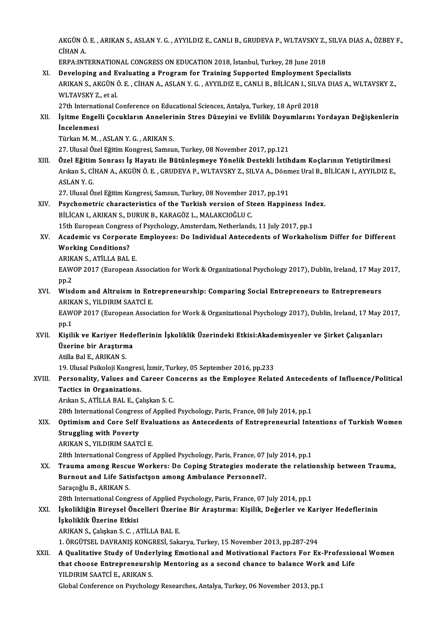AKGÜN Ö. E. , ARIKAN S., ASLAN Y. G. , AYYILDIZ E., CANLI B., GRUDEVA P., WLTAVSKY Z., SILVA DIAS A., ÖZBEY F.,<br>Cihan A AKGÜN Ö<br>CİHAN A.<br>ERRA.INT AKGÜN Ö. E. , ARIKAN S., ASLAN Y. G. , AYYILDIZ E., CANLI B., GRUDEVA P., WLTAVSKY Z.,<br>CİHAN A.<br>ERPA:INTERNATIONAL CONGRESS ON EDUCATION 2018, İstanbul, Turkey, 28 June 2018<br>Davelaning and Evaluating a Bragnam for Training

CIHAN A.<br>ERPA:INTERNATIONAL CONGRESS ON EDUCATION 2018, İstanbul, Turkey, 28 June 2018<br>XI. Developing and Evaluating a Program for Training Supported Employment Specialists<br>ARIKAN S. AKÇÜNÖ E. CUJAN A ASLAN V. C. AYYU DIZ ERPA:INTERNATIONAL CONGRESS ON EDUCATION 2018, İstanbul, Turkey, 28 June 2018<br>Developing and Evaluating a Program for Training Supported Employment Specialists<br>ARIKAN S., AKGÜN Ö. E. , CİHAN A., ASLAN Y. G. , AYYILDIZ E., Developing and <mark>E</mark><br>ARIKAN S., AKGÜN (<br>WLTAVSKY Z., et al.<br>27th International C ARIKAN S., AKGÜN Ö. E. , CİHAN A., ASLAN Y. G. , AYYILDIZ E., CANLI B., BİLİCAN I., SILV<br>WLTAVSKY Z., et al.<br>27th International Conference on Educational Sciences, Antalya, Turkey, 18 April 2018<br>Isitma Engalli Casukların A

WLTAVSKY Z., et al.<br>27th International Conference on Educational Sciences, Antalya, Turkey, 18 April 2018<br>XII. İşitme Engelli Çocukların Annelerinin Stres Düzeyini ve Evlilik Doyumlarını Yordayan Değişkenlerin<br>İncelenme 27th International Conference on Educational Sciences, Antalya, Turkey, 18 April 2018<br>İşitme Engelli Çocukların Annelerinin Stres Düzeyini ve Evlilik Doyumlarını Y<br>İncelenmesi<br>Türkan M. M., ASLAN Y. G., ARIKAN S. İşitme Engelli Çocukların Anneleri<br>İncelenmesi<br>Türkan M. M. , ASLAN Y. G. , ARIKAN S.<br>27 Hlucal Özel Fğitim Kongresi Sameu.

27.UlusalÖzelEğitimKongresi,Samsun,Turkey,08November 2017,pp.121

XIII. Özel Eğitim Sonrası İş Hayatı ile Bütünleşmeye Yönelik Destekli İstihdam Koçlarının Yetiştirilmesi 27. Ulusal Özel Eğitim Kongresi, Samsun, Turkey, 08 November 2017, pp.121<br>Özel Eğitim Sonrası İş Hayatı ile Bütünleşmeye Yönelik Destekli İstihdam Koçlarının Yetiştirilmesi<br>Arıkan S., CİHAN A., AKGÜN Ö. E. , GRUDEVA P., WL Özel Eğitim<br>Arıkan S., Cİ<br>ASLAN Y. G.<br>27. Ulusel Ö Arıkan S., CİHAN A., AKGÜN Ö. E. , GRUDEVA P., WLTAVSKY Z., SILVA A., Dönn<br>ASLAN Y. G.<br>27. Ulusal Özel Eğitim Kongresi, Samsun, Turkey, 08 November 2017, pp.191<br>Ravahometria abarasteristiss of the Turkish version of Steen

### ASLAN Y. G.<br>27. Ulusal Özel Eğitim Kongresi, Samsun, Turkey, 08 November 2017, pp.191<br>XIV. Psychometric characteristics of the Turkish version of Steen Happiness Index.<br>PULLAN LABIKAN S. DUBUK B. KARACÖZ L. MALAKCJOČLU C 27. Ulusal Özel Eğitim Kongresi, Samsun, Turkey, 08 November 2017, pp.191<br>Psychometric characteristics of the Turkish version of Steen Happiness Ind<br>BİLİCAN I., ARIKAN S., DURUK B., KARAGÖZ L., MALAKCIOĞLU C.<br>15th European Psychometric characteristics of the Turkish version of Steen Happiness Ind<br>BİLİCAN I., ARIKAN S., DURUK B., KARAGÖZ L., MALAKCIOĞLU C.<br>15th European Congress of Psychology, Amsterdam, Netherlands, 11 July 2017, pp.1<br>Academ

### BİLİCAN I., ARIKAN S., DURUK B., KARAGÖZ L., MALAKCIOĞLU C.<br>15th European Congress of Psychology, Amsterdam, Netherlands, 11 July 2017, pp.1<br>XV. Academic vs Corporate Employees: Do Individual Antecedents of Workaholism **15th European Congres:<br>Academic vs Corpora<br>Working Conditions? Academic vs Corporate<br>Working Conditions?**<br>ARIKAN S., ATİLLA BAL E.<br>EAWOP 2017 (European /

ARIKAN S., ATİLLA BAL E.

Working Conditions?<br>ARIKAN S., ATİLLA BAL E.<br>EAWOP 2017 (European Association for Work & Organizational Psychology 2017), Dublin, Ireland, 17 May 2017,<br>pp.2 EAWOP 2017 (European Association for Work & Organizational Psychology 2017), Dublin, Ireland, 17 May<br>pp.2<br>XVI. Wisdom and Altruism in Entrepreneurship: Comparing Social Entrepreneurs to Entrepreneurs<br>APIKAN S. VILDIBIM SAA

pp.2<br>Wisdom and Altruism in Ent<br>ARIKAN S., YILDIRIM SAATCİ E.<br>EAWOP 2017 (European Associ Wisdom and Altruism in Entrepreneurship: Comparing Social Entrepreneurs to Entrepreneurs<br>ARIKAN S., YILDIRIM SAATCİ E.<br>EAWOP 2017 (European Association for Work & Organizational Psychology 2017), Dublin, Ireland, 17 May 20

ARIKAN S., YILDIRIM SAATCİ E.<br>EAWOP 2017 (European Association for Work & Organizational Psychology 2017), Dublin, Ireland, 17 May 2017,<br>pp.1 EAWOP 2017 (European Association for Work & Organizational Psychology 2017), Dublin, Ireland, 17 May<br>pp.1<br>XVII. Kişilik ve Kariyer Hedeflerinin İşkoliklik Üzerindeki Etkisi:Akademisyenler ve Şirket Çalışanları<br>Üzerine bir

### pp.1<br>Kişilik ve Kariyer Hede<br>Üzerine bir Apıkan S Kişilik ve Kariyer He<br>Üzerine bir Araştırm<br>Atilla Bal E., ARIKAN S.<br>19 Ulucel Beikeleji Ker Üzerine bir Araştırma<br>Atilla Bal E., ARIKAN S.<br>19. Ulusal Psikoloji Kongresi, İzmir, Turkey, 05 September 2016, pp.233

### Atilla Bal E., ARIKAN S.<br>19. Ulusal Psikoloji Kongresi, İzmir, Turkey, 05 September 2016, pp.233<br>XVIII. Personality, Values and Career Concerns as the Employee Related Antecedents of Influence/Political 19. Ulusal Psikoloji Kongres<br>Personality, Values and<br>Tactics in Organizations.<br>Amkan S. ATU LA PAL E. Co Personality, Values and Career Co<br>Tactics in Organizations.<br>Arıkan S., ATİLLA BAL E., Çalışkan S. C.<br>28th International Congress of Annlied Tactics in Organizations.<br>Arıkan S., ATİLLA BAL E., Çalışkan S. C.<br>28th International Congress of Applied Psychology, Paris, France, 08 July 2014, pp.1<br>Ontimism and Cone Self Evaluations as Antessdents of Entrenneneurial I

### Arıkan S., ATİLLA BAL E., Çalışkan S. C.<br>28th International Congress of Applied Psychology, Paris, France, 08 July 2014, pp.1<br>XIX. Optimism and Core Self Evaluations as Antecedents of Entrepreneurial Intentions of Turk **28th International Congres<br>Optimism and Core Self<br>Struggling with Poverty** Struggling with Poverty<br>ARIKAN S., YILDIRIM SAATCİ E.<br>28th International Congress of Applied Psychology, Paris, France, 07 July 2014, pp.1<br>Trauma amang Bassue Workers: De Coning Strategies moderate the relatio

ARIKANS.,YILDIRIMSAATCİE.

### ARIKAN S., YILDIRIM SAATCİ E.<br>28th International Congress of Applied Psychology, Paris, France, 07 July 2014, pp.1<br>XX. Trauma among Rescue Workers: Do Coping Strategies moderate the relationship between Trauma,<br>Purnaut 28th International Congress of Applied Psychology, Paris, France, 07<br>Trauma among Rescue Workers: Do Coping Strategies moder<br>Burnout and Life Satisfactşon among Ambulance Personnel?.<br>Saracoğlu B. APIKAN S Trauma among Rescu<br>Burnout and Life Sati<br>Saraçoğlu B., ARIKAN S.<br>29th International Cong Burnout and Life Satisfactson among Ambulance Personnel?.<br>Saraçoğlu B., ARIKAN S.<br>28th International Congress of Applied Psychology, Paris, France, 07 July 2014, pp.1 Saraçoğlu B., ARIKAN S.<br>28th International Congress of Applied Psychology, Paris, France, 07 July 2014, pp.1<br>XXI. İşkolikliğin Bireysel Öncelleri Üzerine Bir Araştırma: Kişilik, Değerler ve Kariyer Hedeflerinin<br>İskoliklik

## 28th International Congres<br>İşkolikliğin Bireysel Önc<br>İşkoliklik Üzerine Etkisi<br>ABIYAN S. Calislan S.C. A İşkolikliğin Bireysel Öncelleri Üzerin<br>İşkoliklik Üzerine Etkisi<br>ARIKAN S., Çalışkan S. C. , ATİLLA BAL E.<br>1. ÖPCÜTSEL DAVPANIS KONCPESİ Sakı

İşkoliklik Üzerine Etkisi<br>ARIKAN S., Çalışkan S. C. , ATİLLA BAL E.<br>1. ÖRGÜTSEL DAVRANIŞ KONGRESİ, Sakarya, Turkey, 15 November 2013, pp.287-294<br>A Qualitative Study of Underlying Emetianal and Metiyational Festers For Er

### ARIKAN S., Çalışkan S. C. , ATİLLA BAL E.<br>1. ÖRGÜTSEL DAVRANIŞ KONGRESİ, Sakarya, Turkey, 15 November 2013, pp.287-294<br>XXII. A Qualitative Study of Underlying Emotional and Motivational Factors For Ex-Professional Wome 1. ÖRGÜTSEL DAVRANIŞ KONGRESİ, Sakarya, Turkey, 15 November 2013, pp.287-294<br>A Qualitative Study of Underlying Emotional and Motivational Factors For Ex-Professio<br>that choose Entrepreneurship Mentoring as a second chance t A Qualitative Study of Under<br>that choose Entrepreneursh<br>YILDIRIM SAATCİ E., ARIKAN S.<br>Clabel Conference on Baysholos that choose Entrepreneurship Mentoring as a second chance to balance Work and Life<br>YILDIRIM SAATCİ E., ARIKAN S.<br>Global Conference on Psychology Researches, Antalya, Turkey, 06 November 2013, pp.1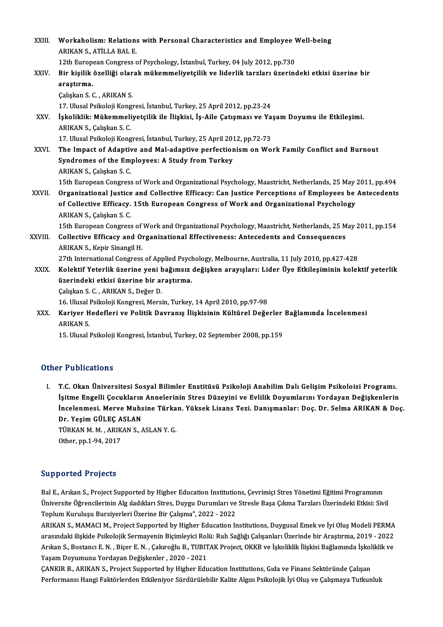| XXIII.       | Workaholism: Relations with Personal Characteristics and Employee Well-being<br>ARIKAN S., ATİLLA BAL E.   |
|--------------|------------------------------------------------------------------------------------------------------------|
|              | 12th European Congress of Psychology, İstanbul, Turkey, 04 July 2012, pp.730                               |
| XXIV.        | Bir kişilik özelliği olarak mükemmeliyetçilik ve liderlik tarzları üzerindeki etkisi üzerine bir           |
|              | araștirma.                                                                                                 |
|              | Çalışkan S. C., ARIKAN S.                                                                                  |
|              | 17. Ulusal Psikoloji Kongresi, İstanbul, Turkey, 25 April 2012, pp.23-24                                   |
| XXV.         | İşkoliklik: Mükemmeliyetçilik ile İlişkisi, İş-Aile Çatışması ve Yaşam Doyumu ile Etkileşimi.              |
|              | ARIKAN S., Çalışkan S. C.                                                                                  |
|              | 17. Ulusal Psikoloji Kongresi, İstanbul, Turkey, 25 April 2012, pp.72-73                                   |
| XXVI.        | The Impact of Adaptive and Mal-adaptive perfectionism on Work Family Conflict and Burnout                  |
|              | Syndromes of the Employees: A Study from Turkey                                                            |
|              | ARIKAN S., Çalışkan S. C.                                                                                  |
|              | 15th European Congress of Work and Organizational Psychology, Maastricht, Netherlands, 25 May 2011, pp.494 |
| <b>XXVII</b> | Organizational Justice and Collective Efficacy: Can Justice Perceptions of Employees be Antecedents        |
|              | of Collective Efficacy. 15th European Congress of Work and Organizational Psychology                       |
|              | ARIKAN S., Çalışkan S. C.                                                                                  |
|              | 15th European Congress of Work and Organizational Psychology, Maastricht, Netherlands, 25 May 2011, pp.154 |
| XXVIII.      | Collective Efficacy and Organizational Effectiveness: Antecedents and Consequences                         |
|              | ARIKAN S., Kepir Sinangil H.                                                                               |
|              | 27th International Congress of Applied Psychology, Melbourne, Australia, 11 July 2010, pp.427-428          |
| XXIX.        | Kolektif Yeterlik üzerine yeni bağımsız değişken arayışları: Lider Üye Etkileşiminin kolektif yeterlik     |
|              | üzerindeki etkisi üzerine bir araştırma.                                                                   |
|              | Çalışkan S. C., ARIKAN S., Değer D.                                                                        |
|              | 16. Ulusal Psikoloji Kongresi, Mersin, Turkey, 14 April 2010, pp.97-98                                     |
| XXX.         | Kariyer Hedefleri ve Politik Davranış İlişkisinin Kültürel Değerler Bağlamında İncelenmesi                 |
|              | <b>ARIKAN S.</b>                                                                                           |
|              | 15. Ulusal Psikoloji Kongresi, İstanbul, Turkey, 02 September 2008, pp.159                                 |
|              |                                                                                                            |

#### Other Publications

ther Publications<br>I. T.C. Okan Üniversitesi Sosyal Bilimler Enstitüsü Psikoloji Anabilim Dalı Gelişim Psikoloisi Programı.<br>İsitme Engelli Gesuklanın Anneleninin Stree Dürevini ve Evlilik Devumlanını Verdeven Değiskonleni ı 1 abitcations<br>T.C. Okan Üniversitesi Sosyal Bilimler Enstitüsü Psikoloji Anabilim Dalı Gelişim Psikoloisi Programı.<br>İşitme Engelli Çocukların Annelerinin Stres Düzeyini ve Evlilik Doyumlarını Yordayan Değişkenlerin<br>İngel T.C. Okan Üniversitesi Sosyal Bilimler Enstitüsü Psikoloji Anabilim Dalı Gelişim Psikoloisi Programı.<br>İşitme Engelli Çocukların Annelerinin Stres Düzeyini ve Evlilik Doyumlarını Yordayan Değişkenlerin<br>İncelenmesi. Merve Mu İşitme Engelli Çocukların Annelerinin Stres Düzeyini ve Evlilik Doyumlarını Yordayan Değişkenlerin<br>İncelenmesi. Merve Muhsine Türkan. Yüksek Lisans Tezi. Danışmanlar: Doç. Dr. Selma ARIKAN & Do<br>Dr. Yeşim GÜLEÇ ASLAN İncelenmesi. Merve Muhsine Türkan. Yüksek Lisans Tezi. Danışmanlar: Doç. Dr. Selma ARIKAN & Doç.<br>Dr. Yeşim GÜLEÇ ASLAN<br>TÜRKAN M. M., ARIKAN S., ASLAN Y. G.<br>Other, pp.1-94, 2017 TÜRKAN M. M., ARIKAN S., ASLAN Y. G.

#### Supported Projects

Supported Projects<br>Bal E., Arıkan S., Project Supported by Higher Education Institutions, Çevrimiçi Stres Yönetimi Eğitimi Programının<br>Üniversite Öğrensilerinin Als dadıkları Stres Duygu Durumları ve Stresle Bese Cılma Ter Üniversite Öğrencilerinin Alg ıladıkları Stres, Duygu Durumları ve Stresle Başa Çıkma Tarzları Üzerindeki Etkisi: Sivil<br>Toplum Kuruluşu Bursiyerleri Üzerine Bir Çalışma", 2022 - 2022 Bal E., Arıkan S., Project Supported by Higher Education Institutio<br>Üniversite Öğrencilerinin Alg ıladıkları Stres, Duygu Durumları ve<br>Toplum Kuruluşu Bursiyerleri Üzerine Bir Çalışma", 2022 - 2022<br>ABIKAN S. MAMACI M. Proj Üniversite Öğrencilerinin Alg ıladıkları Stres, Duygu Durumları ve Stresle Başa Çıkma Tarzları Üzerindeki Etkisi: Sivil<br>Toplum Kuruluşu Bursiyerleri Üzerine Bir Çalışma", 2022 - 2022<br>ARIKAN S., MAMACI M., Project Supported

Toplum Kuruluşu Bursiyerleri Üzerine Bir Çalışma", 2022 - 2022<br>ARIKAN S., MAMACI M., Project Supported by Higher Education Institutions, Duygusal Emek ve İyi Oluş Modeli PERMA<br>Arıkan S. Bestansı E.N., Biser E.N., Calureğlu ARIKAN S., MAMACI M., Project Supported by Higher Education Institutions, Duygusal Emek ve İyi Oluş Modeli PERMA<br>arasındaki ilişkide Psikolojik Sermayenin Biçimleyici Rolü: Ruh Sağlığı Çalışanları Üzerinde bir Araştırma, 2 arasındaki ilişkide Psikolojik Sermayenin Biçimleyici Rolü: Ruh Sağlığı Çalışanları Üzerinde bir Araştırma, 2019 - 2022<br>Arıkan S., Bostancı E. N. , Biçer E. N. , Çakıroğlu B., TUBITAK Project, OKKB ve İşkoliklik İlişkisi B

ÇANKIR B., ARIKAN S., Project Supported by Higher Education Institutions, Gıda ve Finans Sektöründe Çalışan Performansı Hangi Faktörlerden Etkileniyor Sürdürülebilir Kalite Algısı Psikolojik İyi Oluş ve Çalışmaya Tutkunluk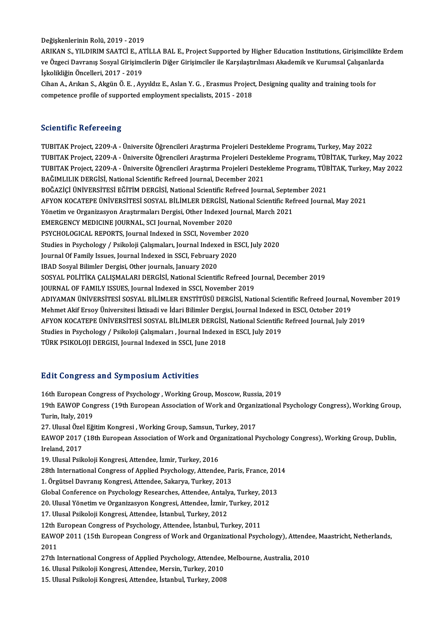#### Değişkenlerinin Rolü, 2019 - 2019

Değişkenlerinin Rolü, 2019 - 2019<br>ARIKAN S., YILDIRIM SAATCİ E., ATİLLA BAL E., Project Supported by Higher Education Institutions, Girişimcilikte Erdem<br>ve Özgesi Devranış Sosval Girişimsilerin Diğer Girişimsiler ile Karaı Değişkenlerinin Rolü, 2019 - 2019<br>ARIKAN S., YILDIRIM SAATCİ E., ATİLLA BAL E., Project Supported by Higher Education Institutions, Girişimcilikte E<br>ve Özgeci Davranış Sosyal Girişimcilerin Diğer Girişimciler ile Karşılaşt ARIKAN S., YILDIRIM SAATCİ E., A<sup>.</sup><br>ve Özgeci Davranış Sosyal Girişimc<br>İşkolikliğin Öncelleri, 2017 - 2019<br>Giban A. Arılma S. Almün Ö. E. A. ve Özgeci Davranış Sosyal Girişimcilerin Diğer Girişimciler ile Karşılaştırılması Akademik ve Kurumsal Çalışanları<br>İşkolikliğin Öncelleri, 2017 - 2019<br>Cihan A., Arıkan S., Akgün Ö. E. , Ayyıldız E., Aslan Y. G. , Erasmus P

İşkolikliğin Öncelleri, 2017 - 2019<br>Cihan A., Arıkan S., Akgün Ö. E. , Ayyıldız E., Aslan Y. G. , Erasmus Project<br>competence profile of supported employment specialists, 2015 - 2018 competence profile of supported employment specialists, 2015 - 2018<br>Scientific Refereeing

TUBITAK Project, 2209-A - Üniversite Öğrencileri Araştırma Projeleri Destekleme Programı, Turkey, May 2022 SSISINININ INSISI SSII<sub>B</sub><br>TUBITAK Project, 2209-A - Üniversite Öğrencileri Araştırma Projeleri Destekleme Programı, Turkey, May 2022<br>TUBITAK Project, 2209-A - Üniversite Öğrencileri Araştırma Projeleri Destekleme Programı, TUBITAK Project, 2209-A - Üniversite Öğrencileri Araştırma Projeleri Destekleme Programı, Turkey, May 2022<br>TUBITAK Project, 2209-A - Üniversite Öğrencileri Araştırma Projeleri Destekleme Programı, TÜBİTAK, Turkey, May 2022 TUBITAK Project, 2209-A - Üniversite Öğrencileri Araştırma Projeleri Deste<br>TUBITAK Project, 2209-A - Üniversite Öğrencileri Araştırma Projeleri Deste<br>BAĞIMLILIK DERGİSİ, National Scientific Refreed Journal, December 2021<br>P TUBITAK Project, 2209-A - Üniversite Öğrencileri Araştırma Projeleri Destekleme Programı, TÜBİTAK, Turkey, May 2022<br>BAĞIMLILIK DERGİSİ, National Scientific Refreed Journal, December 2021<br>BOĞAZİÇİ ÜNİVERSİTESİ EĞİTİM DERGİS BAĞIMLILIK DERGİSİ, National Scientific Refreed Journal, December 2021<br>BOĞAZİÇİ ÜNİVERSİTESİ EĞİTİM DERGİSİ, National Scientific Refreed Journal, September 2021<br>AFYON KOCATEPE ÜNİVERSİTESİ SOSYAL BİLİMLER DERGİSİ, National BOĞAZİÇİ ÜNİVERSİTESİ EĞİTİM DERGİSİ, National Scientific Refreed Journal, Septer<br>AFYON KOCATEPE ÜNİVERSİTESİ SOSYAL BİLİMLER DERGİSİ, National Scientific Ref<br>Yönetim ve Organizasyon Araştırmaları Dergisi, Other Indexed Jo AFYON KOCATEPE ÜNIVERSITESI SOSYAL BILIMLER DERGISI, N<br>Yönetim ve Organizasyon Araştırmaları Dergisi, Other Indexed Journal, November 2020<br>EMERGENCY MEDICINE JOURNAL, SCI Journal, November 2020<br>PSYCHOLOCICAL PEROPTS, Journ Yönetim ve Organizasyon Araştırmaları Dergisi, Other Indexed Journal, March 2021<br>EMERGENCY MEDICINE JOURNAL, SCI Journal, November 2020 EMERGENCY MEDICINE JOURNAL, SCI Journal, November 2020<br>PSYCHOLOGICAL REPORTS, Journal Indexed in SSCI, November 2020<br>Studies in Psychology / Psikoloji Çalışmaları, Journal Indexed in ESCI, July 2020<br>Journal Of Eamily Jesue PSYCHOLOGICAL REPORTS, Journal Indexed in SSCI, November 2020<br>Studies in Psychology / Psikoloji Çalışmaları, Journal Indexed in ESCI,<br>Journal Of Family Issues, Journal Indexed in SSCI, February 2020<br>IBAD Sosyal Bilimler De Studies in Psychology / Psikoloji Çalışmaları, Journal Indexe<br>Journal Of Family Issues, Journal Indexed in SSCI, February<br>IBAD Sosyal Bilimler Dergisi, Other journals, January 2020<br>SOSYAL POLITIKA CALISMALARI DERGISI, Nati Journal Of Family Issues, Journal Indexed in SSCI, February 2020<br>IBAD Sosyal Bilimler Dergisi, Other journals, January 2020<br>SOSYAL POLİTİKA ÇALIŞMALARI DERGİSİ, National Scientific Refreed Journal, December 2019<br>JOURNAL OF IBAD Sosyal Bilimler Dergisi, Other journals, January 2020<br>SOSYAL POLİTİKA ÇALIŞMALARI DERGİSİ, National Scientific Refreed Jo<br>JOURNAL OF FAMILY ISSUES, Journal Indexed in SSCI, November 2019<br>ADIYAMAN ÜNİVERSİTESİ SOSYAL R JOURNAL OF FAMILY ISSUES, Journal Indexed in SSCI, November 2019<br>ADIYAMAN ÜNİVERSİTESİ SOSYAL BİLİMLER ENSTİTÜSÜ DERGİSİ, National Scientific Refreed Journal, November 2019 JOURNAL OF FAMILY ISSUES, Journal Indexed in SSCI, November 2019<br>ADIYAMAN ÜNIVERSITESI SOSYAL BILIMLER ENSTITÜSÜ DERGISI, National Scientific Refreed Journal, Mehmet Akif Ersoy Üniversitesi İktisadi ve İdari Bilimler Dergi ADIYAMAN ÜNİVERSİTESİ SOSYAL BİLİMLER ENSTİTÜSÜ DERGİSİ, National Scientific Refreed Journal, Nove:<br>Mehmet Akif Ersoy Üniversitesi İktisadi ve İdari Bilimler Dergisi, Journal Indexed in ESCI, October 2019<br>AFYON KOCATEPE ÜN Mehmet Akif Ersoy Üniversitesi İktisadi ve İdari Bilimler Dergisi, Journal Indexed<br>AFYON KOCATEPE ÜNİVERSİTESİ SOSYAL BİLİMLER DERGİSİ, National Scientific<br>Studies in Psychology / Psikoloji Çalışmaları , Journal Indexed in AFYON KOCATEPE ÜNİVERSİTESİ SOSYAL BİLİMLER DERGİSİ,<br>Studies in Psychology / Psikoloji Çalışmaları , Journal Indexed<br>TÜRK PSIKOLOJI DERGISI, Journal Indexed in SSCI, June 2018 TÜRK PSIKOLOJI DERGISI, Journal Indexed in SSCI, June 2018<br>Edit Congress and Symposium Activities

Edit Congress and Symposium Activities<br>16th European Congress of Psychology , Working Group, Moscow, Russia, 2019<br>19th EAWOR Congress (19th European Association of Work and Organizational) 19th EAWOP Congress (19th European Association of Work and Organizational Psychology Congress), Working Group,<br>Turin, Italy, 2019 16th European Co<br>19th EAWOP Cong<br>Turin, Italy, 2019<br>27. Ulusel Özel F<del>ö</del> 19th EAWOP Congress (19th European Association of Work and Organi:<br>Turin, Italy, 2019<br>27. Ulusal Özel Eğitim Kongresi , Working Group, Samsun, Turkey, 2017<br>EAWOP 2017 (19th European Association of Work and Organizational B EAWOP 2017 (18th European Association of Work and Organizational Psychology Congress), Working Group, Dublin,<br>Ireland, 2017 27. Ulusal Özel<br>EAWOP 2017<br>Ireland, 2017<br>19. Ulusal Baik 19. Ulusal Psikoloji Kongresi, Attendee, İzmir, Turkey, 2016 Ireland, 2017<br>19. Ulusal Psikoloji Kongresi, Attendee, İzmir, Turkey, 2016<br>28th International Congress of Applied Psychology, Attendee, Paris, France, 2014<br>1. Örgütasl Dauranus Kongresi, Attendee, Sakarya, Turkey, 2012 19. Ulusal Psikoloji Kongresi, Attendee, İzmir, Turkey, 2016<br>28th International Congress of Applied Psychology, Attendee, Pa<br>1. Örgütsel Davranış Kongresi, Attendee, Sakarya, Turkey, 2013<br>Clabel Conference on Bayshology Be 28th International Congress of Applied Psychology, Attendee, Paris, France, 201<br>1. Örgütsel Davranış Kongresi, Attendee, Sakarya, Turkey, 2013<br>Global Conference on Psychology Researches, Attendee, Antalya, Turkey, 2013<br>20 1. Örgütsel Davranış Kongresi, Attendee, Sakarya, Turkey, 2013<br>Global Conference on Psychology Researches, Attendee, Antalya, Turkey, 201<br>20. Ulusal Yönetim ve Organizasyon Kongresi, Attendee, İzmir, Turkey, 2012<br>17. Ulusa Global Conference on Psychology Researches, Attendee, Antaly<br>20. Ulusal Yönetim ve Organizasyon Kongresi, Attendee, İzmir,<br>17. Ulusal Psikoloji Kongresi, Attendee, İstanbul, Turkey, 2012<br>12th European Congress of Baycholog 20. Ulusal Yönetim ve Organizasyon Kongresi, Attendee, İzmir, Turkey, 201<br>17. Ulusal Psikoloji Kongresi, Attendee, İstanbul, Turkey, 2012<br>12th European Congress of Psychology, Attendee, İstanbul, Turkey, 2011<br>EAWOR 2011 (1 17. Ulusal Psikoloji Kongresi, Attendee, İstanbul, Turkey, 2012<br>12th European Congress of Psychology, Attendee, İstanbul, Turkey, 2011<br>EAWOP 2011 (15th European Congress of Work and Organizational Psychology), Attendee, Ma 12th I<br>EAWC<br>2011<br>27th I 2011 (15th European Congress of Work and Organizational Psychology), Attende<br>2011<br>27th International Congress of Applied Psychology, Attendee, Melbourne, Australia, 2010<br>16 Ulugal Psikoloji Kongresi, Attendee, Mersin, Turk 2011<br>27th International Congress of Applied Psychology, Attendee,<br>16. Ulusal Psikoloji Kongresi, Attendee, Mersin, Turkey, 2010<br>15. Ulusal Psikoloji Kongresi, Attendee, Istanbul, Turkey, 2009 27th International Congress of Applied Psychology, Attendee,<br>16. Ulusal Psikoloji Kongresi, Attendee, Mersin, Turkey, 2010<br>15. Ulusal Psikoloji Kongresi, Attendee, İstanbul, Turkey, 2008